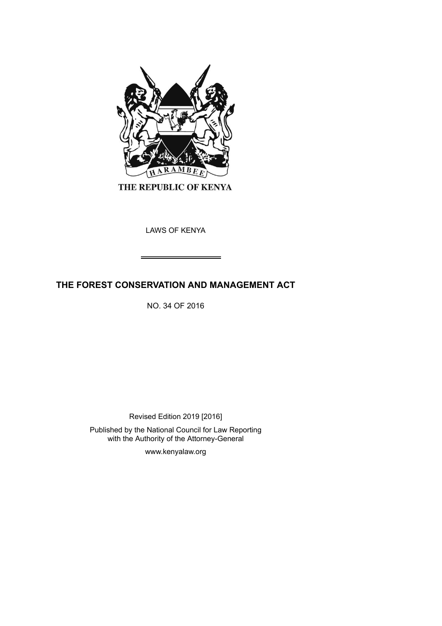

THE REPUBLIC OF KENYA

LAWS OF KENYA

# **THE FOREST CONSERVATION AND MANAGEMENT ACT**

NO. 34 OF 2016

Revised Edition 2019 [2016]

Published by the National Council for Law Reporting with the Authority of the Attorney-General

www.kenyalaw.org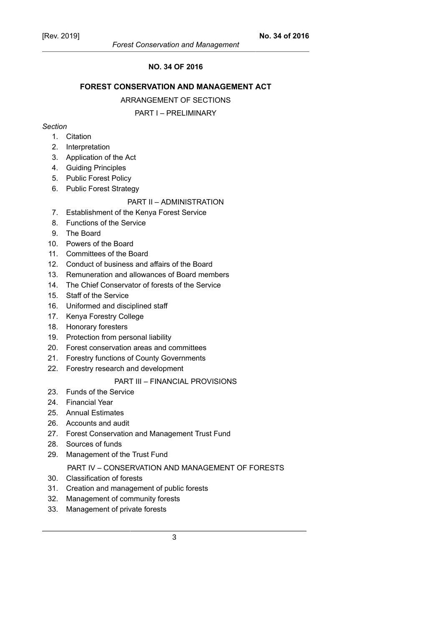## **NO. 34 OF 2016**

## **FOREST CONSERVATION AND MANAGEMENT ACT**

#### ARRANGEMENT OF SECTIONS

### PART I – PRELIMINARY

## *Section*

- 1. Citation
- 2. Interpretation
- 3. Application of the Act
- 4. Guiding Principles
- 5. Public Forest Policy
- 6. Public Forest Strategy

## PART II – ADMINISTRATION

- 7. Establishment of the Kenya Forest Service
- 8. Functions of the Service
- 9. The Board
- 10. Powers of the Board
- 11. Committees of the Board
- 12. Conduct of business and affairs of the Board
- 13. Remuneration and allowances of Board members
- 14. The Chief Conservator of forests of the Service
- 15. Staff of the Service
- 16. Uniformed and disciplined staff
- 17. Kenya Forestry College
- 18. Honorary foresters
- 19. Protection from personal liability
- 20. Forest conservation areas and committees
- 21. Forestry functions of County Governments
- 22. Forestry research and development

## PART III – FINANCIAL PROVISIONS

- 23. Funds of the Service
- 24. Financial Year
- 25. Annual Estimates
- 26. Accounts and audit
- 27. Forest Conservation and Management Trust Fund
- 28. Sources of funds
- 29. Management of the Trust Fund

## PART IV – CONSERVATION AND MANAGEMENT OF FORESTS

- 30. Classification of forests
- 31. Creation and management of public forests
- 32. Management of community forests
- 33. Management of private forests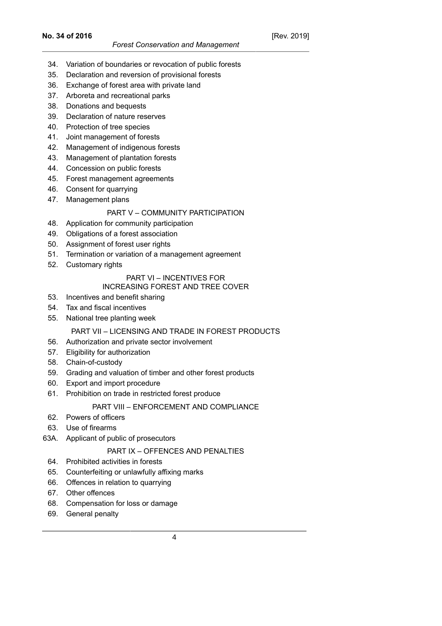- 34. Variation of boundaries or revocation of public forests
- 35. Declaration and reversion of provisional forests
- 36. Exchange of forest area with private land
- 37. Arboreta and recreational parks
- 38. Donations and bequests
- 39. Declaration of nature reserves
- 40. Protection of tree species
- 41. Joint management of forests
- 42. Management of indigenous forests
- 43. Management of plantation forests
- 44. Concession on public forests
- 45. Forest management agreements
- 46. Consent for quarrying
- 47. Management plans

## PART V – COMMUNITY PARTICIPATION

- 48. Application for community participation
- 49. Obligations of a forest association
- 50. Assignment of forest user rights
- 51. Termination or variation of a management agreement
- 52. Customary rights

# PART VI – INCENTIVES FOR

## INCREASING FOREST AND TREE COVER

- 53. Incentives and benefit sharing
- 54. Tax and fiscal incentives
- 55. National tree planting week

## PART VII – LICENSING AND TRADE IN FOREST PRODUCTS

- 56. Authorization and private sector involvement
- 57. Eligibility for authorization
- 58. Chain-of-custody
- 59. Grading and valuation of timber and other forest products
- 60. Export and import procedure
- 61. Prohibition on trade in restricted forest produce

## PART VIII – ENFORCEMENT AND COMPLIANCE

- 62. Powers of officers
- 63. Use of firearms
- 63A. Applicant of public of prosecutors

## PART IX – OFFENCES AND PENALTIES

- 64. Prohibited activities in forests
- 65. Counterfeiting or unlawfully affixing marks
- 66. Offences in relation to quarrying
- 67. Other offences
- 68. Compensation for loss or damage
- 69. General penalty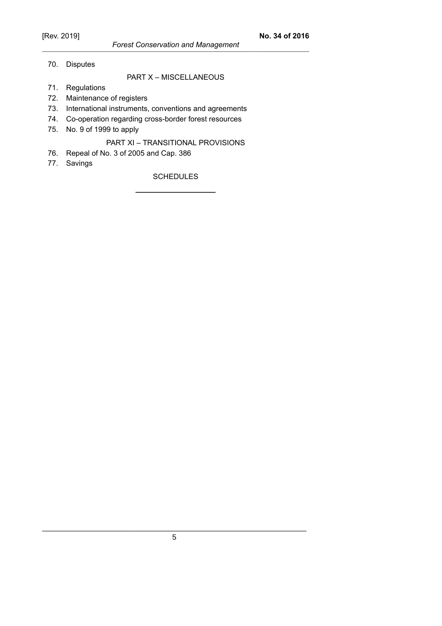70. Disputes

# PART X – MISCELLANEOUS

- 71. Regulations
- 72. Maintenance of registers
- 73. International instruments, conventions and agreements
- 74. Co-operation regarding cross-border forest resources
- 75. No. 9 of 1999 to apply

## PART XI – TRANSITIONAL PROVISIONS

- 76. Repeal of No. 3 of 2005 and Cap. 386
- 77. Savings

**SCHEDULES**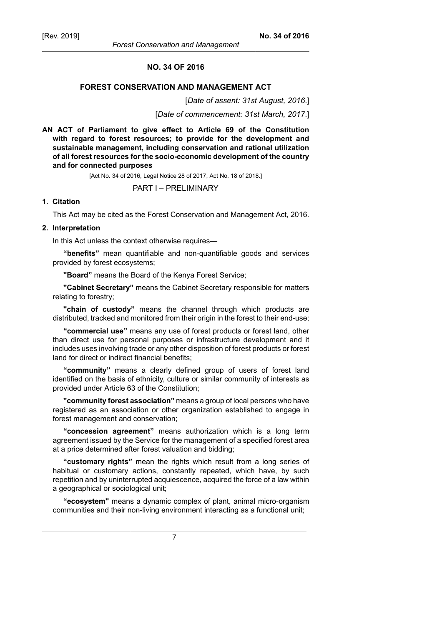#### **NO. 34 OF 2016**

### **FOREST CONSERVATION AND MANAGEMENT ACT**

[*Date of assent: 31st August, 2016*.]

[*Date of commencement: 31st March, 2017*.]

**AN ACT of Parliament to give effect to Article 69 of the Constitution with regard to forest resources; to provide for the development and sustainable management, including conservation and rational utilization of all forest resources for the socio-economic development of the country and for connected purposes**

[Act No. 34 of 2016, Legal Notice 28 of 2017, Act No. 18 of 2018.]

PART I – PRELIMINARY

### **1. Citation**

This Act may be cited as the Forest Conservation and Management Act, 2016.

#### **2. Interpretation**

In this Act unless the context otherwise requires—

**"benefits"** mean quantifiable and non-quantifiable goods and services provided by forest ecosystems;

**"Board"** means the Board of the Kenya Forest Service;

**"Cabinet Secretary"** means the Cabinet Secretary responsible for matters relating to forestry;

**"chain of custody"** means the channel through which products are distributed, tracked and monitored from their origin in the forest to their end-use;

**"commercial use"** means any use of forest products or forest land, other than direct use for personal purposes or infrastructure development and it includes uses involving trade or any other disposition of forest products or forest land for direct or indirect financial benefits;

**"community"** means a clearly defined group of users of forest land identified on the basis of ethnicity, culture or similar community of interests as provided under Article 63 of the Constitution;

**"community forest association"** means a group of local persons who have registered as an association or other organization established to engage in forest management and conservation;

**"concession agreement"** means authorization which is a long term agreement issued by the Service for the management of a specified forest area at a price determined after forest valuation and bidding;

**"customary rights"** mean the rights which result from a long series of habitual or customary actions, constantly repeated, which have, by such repetition and by uninterrupted acquiescence, acquired the force of a law within a geographical or sociological unit;

**"ecosystem"** means a dynamic complex of plant, animal micro-organism communities and their non-living environment interacting as a functional unit;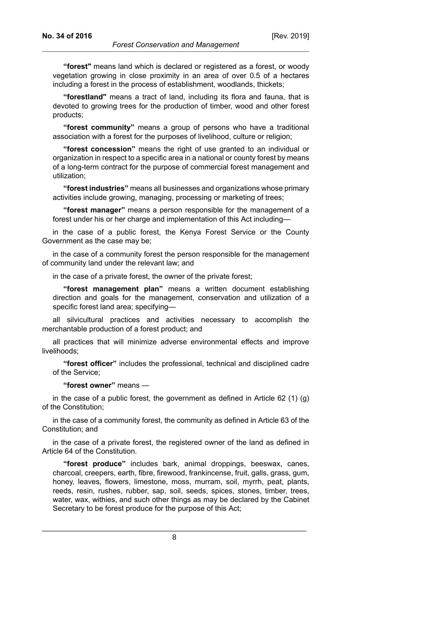**"forest"** means land which is declared or registered as a forest, or woody vegetation growing in close proximity in an area of over 0.5 of a hectares including a forest in the process of establishment, woodlands, thickets;

**"forestland"** means a tract of land, including its flora and fauna, that is devoted to growing trees for the production of timber, wood and other forest products;

**"forest community"** means a group of persons who have a traditional association with a forest for the purposes of livelihood, culture or religion;

**"forest concession"** means the right of use granted to an individual or organization in respect to a specific area in a national or county forest by means of a long-term contract for the purpose of commercial forest management and utilization;

**"forest industries"** means all businesses and organizations whose primary activities include growing, managing, processing or marketing of trees;

**"forest manager"** means a person responsible for the management of a forest under his or her charge and implementation of this Act including—

in the case of a public forest, the Kenya Forest Service or the County Government as the case may be;

in the case of a community forest the person responsible for the management of community land under the relevant law; and

in the case of a private forest, the owner of the private forest;

**"forest management plan"** means a written document establishing direction and goals for the management, conservation and utilization of a specific forest land area; specifying—

all silvicultural practices and activities necessary to accomplish the merchantable production of a forest product; and

all practices that will minimize adverse environmental effects and improve livelihoods;

**"forest officer"** includes the professional, technical and disciplined cadre of the Service;

**"forest owner"** means —

in the case of a public forest, the government as defined in Article 62 (1) (g) of the Constitution;

in the case of a community forest, the community as defined in Article 63 of the Constitution; and

in the case of a private forest, the registered owner of the land as defined in Article 64 of the Constitution.

**"forest produce"** includes bark, animal droppings, beeswax, canes, charcoal, creepers, earth, fibre, firewood, frankincense, fruit, galls, grass, gum, honey, leaves, flowers, limestone, moss, murram, soil, myrrh, peat, plants, reeds, resin, rushes, rubber, sap, soil, seeds, spices, stones, timber, trees, water, wax, withies, and such other things as may be declared by the Cabinet Secretary to be forest produce for the purpose of this Act;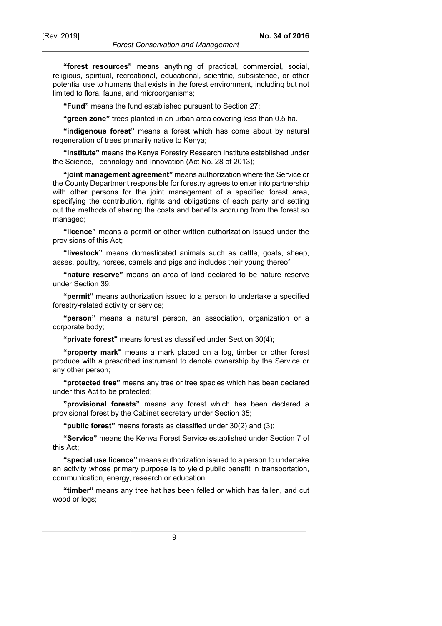**"forest resources"** means anything of practical, commercial, social, religious, spiritual, recreational, educational, scientific, subsistence, or other potential use to humans that exists in the forest environment, including but not limited to flora, fauna, and microorganisms;

**"Fund"** means the fund established pursuant to Section 27;

**"green zone"** trees planted in an urban area covering less than 0.5 ha.

**"indigenous forest"** means a forest which has come about by natural regeneration of trees primarily native to Kenya;

**"Institute"** means the Kenya Forestry Research Institute established under the Science, Technology and Innovation (Act No. 28 of 2013);

**"joint management agreement"** means authorization where the Service or the County Department responsible for forestry agrees to enter into partnership with other persons for the joint management of a specified forest area, specifying the contribution, rights and obligations of each party and setting out the methods of sharing the costs and benefits accruing from the forest so managed;

**"licence"** means a permit or other written authorization issued under the provisions of this Act;

**"livestock"** means domesticated animals such as cattle, goats, sheep, asses, poultry, horses, camels and pigs and includes their young thereof;

**"nature reserve"** means an area of land declared to be nature reserve under Section 39;

**"permit"** means authorization issued to a person to undertake a specified forestry-related activity or service;

**"person"** means a natural person, an association, organization or a corporate body;

**"private forest"** means forest as classified under Section 30(4);

**"property mark"** means a mark placed on a log, timber or other forest produce with a prescribed instrument to denote ownership by the Service or any other person;

**"protected tree"** means any tree or tree species which has been declared under this Act to be protected;

**"provisional forests"** means any forest which has been declared a provisional forest by the Cabinet secretary under Section 35;

**"public forest"** means forests as classified under 30(2) and (3);

**"Service"** means the Kenya Forest Service established under Section 7 of this Act;

**"special use licence"** means authorization issued to a person to undertake an activity whose primary purpose is to yield public benefit in transportation, communication, energy, research or education;

**"timber"** means any tree hat has been felled or which has fallen, and cut wood or logs;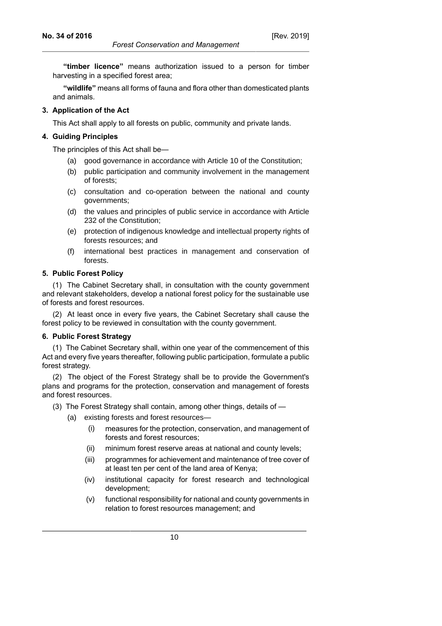**"timber licence"** means authorization issued to a person for timber harvesting in a specified forest area;

**"wildlife"** means all forms of fauna and flora other than domesticated plants and animals.

## **3. Application of the Act**

This Act shall apply to all forests on public, community and private lands.

#### **4. Guiding Principles**

The principles of this Act shall be—

- (a) good governance in accordance with Article 10 of the Constitution;
- (b) public participation and community involvement in the management of forests;
- (c) consultation and co-operation between the national and county governments;
- (d) the values and principles of public service in accordance with Article 232 of the Constitution;
- (e) protection of indigenous knowledge and intellectual property rights of forests resources; and
- (f) international best practices in management and conservation of forests.

#### **5. Public Forest Policy**

(1) The Cabinet Secretary shall, in consultation with the county government and relevant stakeholders, develop a national forest policy for the sustainable use of forests and forest resources.

(2) At least once in every five years, the Cabinet Secretary shall cause the forest policy to be reviewed in consultation with the county government.

#### **6. Public Forest Strategy**

(1) The Cabinet Secretary shall, within one year of the commencement of this Act and every five years thereafter, following public participation, formulate a public forest strategy.

(2) The object of the Forest Strategy shall be to provide the Government's plans and programs for the protection, conservation and management of forests and forest resources.

(3) The Forest Strategy shall contain, among other things, details of —

- (a) existing forests and forest resources—
	- (i) measures for the protection, conservation, and management of forests and forest resources;
	- (ii) minimum forest reserve areas at national and county levels;
	- (iii) programmes for achievement and maintenance of tree cover of at least ten per cent of the land area of Kenya;
	- (iv) institutional capacity for forest research and technological development;
	- (v) functional responsibility for national and county governments in relation to forest resources management; and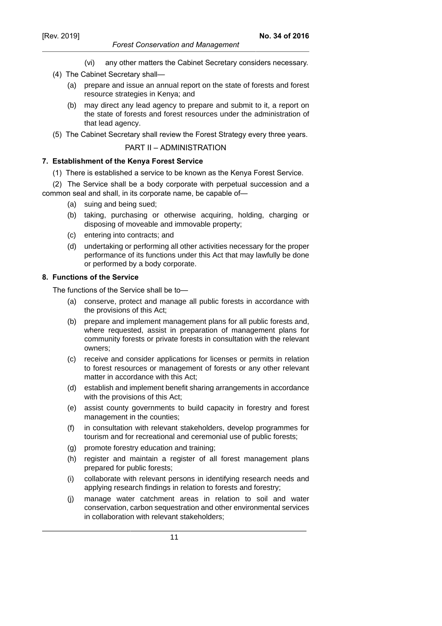- *Forest Conservation and Management*
- (vi) any other matters the Cabinet Secretary considers necessary.
- (4) The Cabinet Secretary shall—
	- (a) prepare and issue an annual report on the state of forests and forest resource strategies in Kenya; and
	- (b) may direct any lead agency to prepare and submit to it, a report on the state of forests and forest resources under the administration of that lead agency.
- (5) The Cabinet Secretary shall review the Forest Strategy every three years.

PART II – ADMINISTRATION

### **7. Establishment of the Kenya Forest Service**

(1) There is established a service to be known as the Kenya Forest Service.

(2) The Service shall be a body corporate with perpetual succession and a common seal and shall, in its corporate name, be capable of—

- (a) suing and being sued;
- (b) taking, purchasing or otherwise acquiring, holding, charging or disposing of moveable and immovable property;
- (c) entering into contracts; and
- (d) undertaking or performing all other activities necessary for the proper performance of its functions under this Act that may lawfully be done or performed by a body corporate.

### **8. Functions of the Service**

The functions of the Service shall be to—

- (a) conserve, protect and manage all public forests in accordance with the provisions of this Act;
- (b) prepare and implement management plans for all public forests and, where requested, assist in preparation of management plans for community forests or private forests in consultation with the relevant owners;
- (c) receive and consider applications for licenses or permits in relation to forest resources or management of forests or any other relevant matter in accordance with this Act;
- (d) establish and implement benefit sharing arrangements in accordance with the provisions of this Act;
- (e) assist county governments to build capacity in forestry and forest management in the counties;
- (f) in consultation with relevant stakeholders, develop programmes for tourism and for recreational and ceremonial use of public forests;
- (g) promote forestry education and training;
- (h) register and maintain a register of all forest management plans prepared for public forests;
- (i) collaborate with relevant persons in identifying research needs and applying research findings in relation to forests and forestry;
- (j) manage water catchment areas in relation to soil and water conservation, carbon sequestration and other environmental services in collaboration with relevant stakeholders;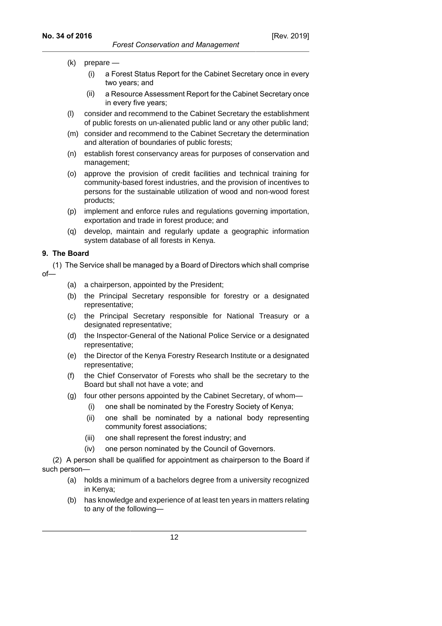- (k) prepare
	- (i) a Forest Status Report for the Cabinet Secretary once in every two years; and
	- (ii) a Resource Assessment Report for the Cabinet Secretary once in every five years;
- (l) consider and recommend to the Cabinet Secretary the establishment of public forests on un-alienated public land or any other public land;
- (m) consider and recommend to the Cabinet Secretary the determination and alteration of boundaries of public forests;
- (n) establish forest conservancy areas for purposes of conservation and management;
- (o) approve the provision of credit facilities and technical training for community-based forest industries, and the provision of incentives to persons for the sustainable utilization of wood and non-wood forest products;
- (p) implement and enforce rules and regulations governing importation, exportation and trade in forest produce; and
- (q) develop, maintain and regularly update a geographic information system database of all forests in Kenya.

## **9. The Board**

(1) The Service shall be managed by a Board of Directors which shall comprise of—

- (a) a chairperson, appointed by the President;
- (b) the Principal Secretary responsible for forestry or a designated representative;
- (c) the Principal Secretary responsible for National Treasury or a designated representative;
- (d) the Inspector-General of the National Police Service or a designated representative;
- (e) the Director of the Kenya Forestry Research Institute or a designated representative;
- (f) the Chief Conservator of Forests who shall be the secretary to the Board but shall not have a vote; and
- (g) four other persons appointed by the Cabinet Secretary, of whom—
	- (i) one shall be nominated by the Forestry Society of Kenya;
	- (ii) one shall be nominated by a national body representing community forest associations;
	- (iii) one shall represent the forest industry; and
	- (iv) one person nominated by the Council of Governors.

(2) A person shall be qualified for appointment as chairperson to the Board if such person—

- (a) holds a minimum of a bachelors degree from a university recognized in Kenya;
- (b) has knowledge and experience of at least ten years in matters relating to any of the following—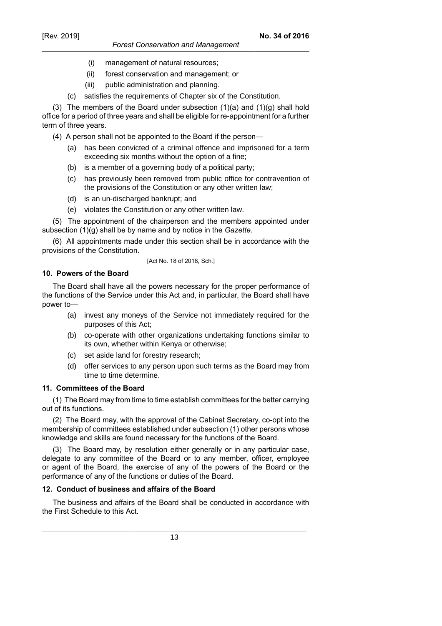- (i) management of natural resources;
- (ii) forest conservation and management; or
- (iii) public administration and planning.
- (c) satisfies the requirements of Chapter six of the Constitution.

(3) The members of the Board under subsection  $(1)(a)$  and  $(1)(g)$  shall hold office for a period of three years and shall be eligible for re-appointment for a further term of three years.

(4) A person shall not be appointed to the Board if the person—

- (a) has been convicted of a criminal offence and imprisoned for a term exceeding six months without the option of a fine;
- (b) is a member of a governing body of a political party;
- (c) has previously been removed from public office for contravention of the provisions of the Constitution or any other written law;
- (d) is an un-discharged bankrupt; and
- (e) violates the Constitution or any other written law.

(5) The appointment of the chairperson and the members appointed under subsection (1)(g) shall be by name and by notice in the *Gazette*.

(6) All appointments made under this section shall be in accordance with the provisions of the Constitution.

## [Act No. 18 of 2018, Sch.]

## **10. Powers of the Board**

The Board shall have all the powers necessary for the proper performance of the functions of the Service under this Act and, in particular, the Board shall have power to—

- (a) invest any moneys of the Service not immediately required for the purposes of this Act;
- (b) co-operate with other organizations undertaking functions similar to its own, whether within Kenya or otherwise;
- (c) set aside land for forestry research;
- (d) offer services to any person upon such terms as the Board may from time to time determine.

## **11. Committees of the Board**

(1) The Board may from time to time establish committees for the better carrying out of its functions.

(2) The Board may, with the approval of the Cabinet Secretary, co-opt into the membership of committees established under subsection (1) other persons whose knowledge and skills are found necessary for the functions of the Board.

(3) The Board may, by resolution either generally or in any particular case, delegate to any committee of the Board or to any member, officer, employee or agent of the Board, the exercise of any of the powers of the Board or the performance of any of the functions or duties of the Board.

## **12. Conduct of business and affairs of the Board**

The business and affairs of the Board shall be conducted in accordance with the First Schedule to this Act.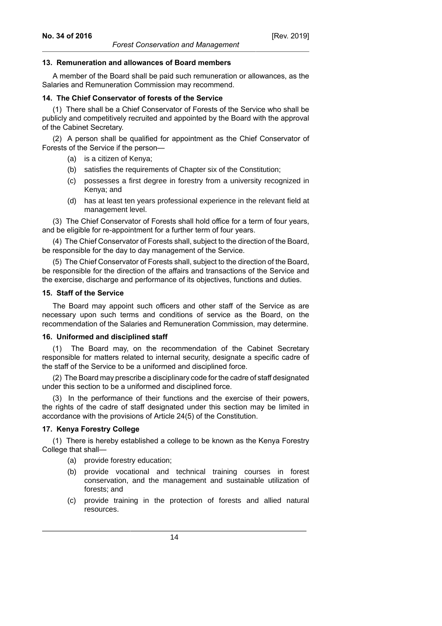#### **13. Remuneration and allowances of Board members**

A member of the Board shall be paid such remuneration or allowances, as the Salaries and Remuneration Commission may recommend.

#### **14. The Chief Conservator of forests of the Service**

(1) There shall be a Chief Conservator of Forests of the Service who shall be publicly and competitively recruited and appointed by the Board with the approval of the Cabinet Secretary.

(2) A person shall be qualified for appointment as the Chief Conservator of Forests of the Service if the person—

- (a) is a citizen of Kenya;
- (b) satisfies the requirements of Chapter six of the Constitution;
- (c) possesses a first degree in forestry from a university recognized in Kenya; and
- (d) has at least ten years professional experience in the relevant field at management level.

(3) The Chief Conservator of Forests shall hold office for a term of four years, and be eligible for re-appointment for a further term of four years.

(4) The Chief Conservator of Forests shall, subject to the direction of the Board, be responsible for the day to day management of the Service.

(5) The Chief Conservator of Forests shall, subject to the direction of the Board, be responsible for the direction of the affairs and transactions of the Service and the exercise, discharge and performance of its objectives, functions and duties.

#### **15. Staff of the Service**

The Board may appoint such officers and other staff of the Service as are necessary upon such terms and conditions of service as the Board, on the recommendation of the Salaries and Remuneration Commission, may determine.

### **16. Uniformed and disciplined staff**

The Board may, on the recommendation of the Cabinet Secretary responsible for matters related to internal security, designate a specific cadre of the staff of the Service to be a uniformed and disciplined force.

(2) The Board may prescribe a disciplinary code for the cadre of staff designated under this section to be a uniformed and disciplined force.

(3) In the performance of their functions and the exercise of their powers, the rights of the cadre of staff designated under this section may be limited in accordance with the provisions of Article 24(5) of the Constitution.

### **17. Kenya Forestry College**

(1) There is hereby established a college to be known as the Kenya Forestry College that shall—

- (a) provide forestry education;
- (b) provide vocational and technical training courses in forest conservation, and the management and sustainable utilization of forests; and
- (c) provide training in the protection of forests and allied natural resources.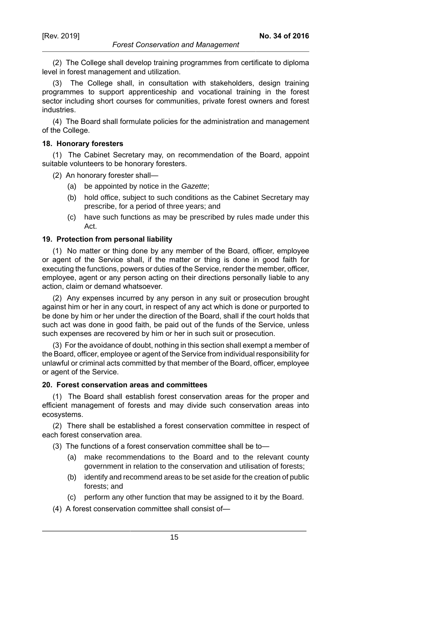**No. 34 of 2016**

(2) The College shall develop training programmes from certificate to diploma level in forest management and utilization.

(3) The College shall, in consultation with stakeholders, design training programmes to support apprenticeship and vocational training in the forest sector including short courses for communities, private forest owners and forest industries.

(4) The Board shall formulate policies for the administration and management of the College.

#### **18. Honorary foresters**

(1) The Cabinet Secretary may, on recommendation of the Board, appoint suitable volunteers to be honorary foresters.

(2) An honorary forester shall—

- (a) be appointed by notice in the Gazette;
- (b) hold office, subject to such conditions as the Cabinet Secretary may prescribe, for a period of three years; and
- (c) have such functions as may be prescribed by rules made under this Act.

### **19. Protection from personal liability**

(1) No matter or thing done by any member of the Board, officer, employee or agent of the Service shall, if the matter or thing is done in good faith for executing the functions, powers or duties of the Service, render the member, officer, employee, agent or any person acting on their directions personally liable to any action, claim or demand whatsoever.

(2) Any expenses incurred by any person in any suit or prosecution brought against him or her in any court, in respect of any act which is done or purported to be done by him or her under the direction of the Board, shall if the court holds that such act was done in good faith, be paid out of the funds of the Service, unless such expenses are recovered by him or her in such suit or prosecution.

(3) For the avoidance of doubt, nothing in this section shall exempt a member of the Board, officer, employee or agent of the Service from individual responsibility for unlawful or criminal acts committed by that member of the Board, officer, employee or agent of the Service.

### **20. Forest conservation areas and committees**

(1) The Board shall establish forest conservation areas for the proper and efficient management of forests and may divide such conservation areas into ecosystems.

(2) There shall be established a forest conservation committee in respect of each forest conservation area.

(3) The functions of a forest conservation committee shall be to—

- (a) make recommendations to the Board and to the relevant county government in relation to the conservation and utilisation of forests;
- (b) identify and recommend areas to be set aside for the creation of public forests; and
- (c) perform any other function that may be assigned to it by the Board.
- (4) A forest conservation committee shall consist of—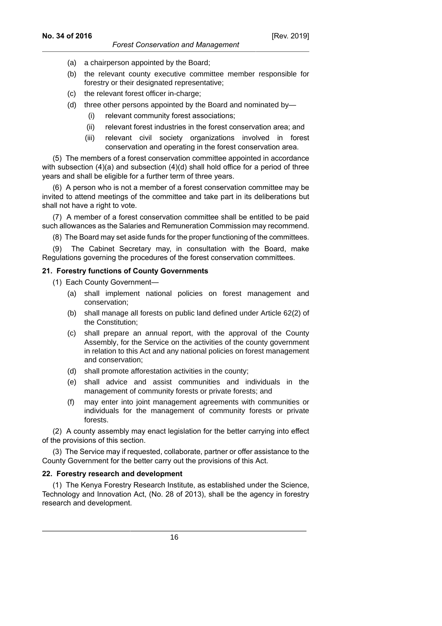- (a) a chairperson appointed by the Board;
- (b) the relevant county executive committee member responsible for forestry or their designated representative;
- (c) the relevant forest officer in-charge;
- (d) three other persons appointed by the Board and nominated by—
	- (i) relevant community forest associations;
	- (ii) relevant forest industries in the forest conservation area; and
	- (iii) relevant civil society organizations involved in forest conservation and operating in the forest conservation area.

(5) The members of a forest conservation committee appointed in accordance with subsection (4)(a) and subsection (4)(d) shall hold office for a period of three years and shall be eligible for a further term of three years.

(6) A person who is not a member of a forest conservation committee may be invited to attend meetings of the committee and take part in its deliberations but shall not have a right to vote.

(7) A member of a forest conservation committee shall be entitled to be paid such allowances as the Salaries and Remuneration Commission may recommend.

(8) The Board may set aside funds for the proper functioning of the committees.

(9) The Cabinet Secretary may, in consultation with the Board, make Regulations governing the procedures of the forest conservation committees.

### **21. Forestry functions of County Governments**

- (1) Each County Government—
	- (a) shall implement national policies on forest management and conservation;
	- (b) shall manage all forests on public land defined under Article 62(2) of the Constitution;
	- (c) shall prepare an annual report, with the approval of the County Assembly, for the Service on the activities of the county government in relation to this Act and any national policies on forest management and conservation;
	- (d) shall promote afforestation activities in the county;
	- (e) shall advice and assist communities and individuals in the management of community forests or private forests; and
	- (f) may enter into joint management agreements with communities or individuals for the management of community forests or private forests.

(2) A county assembly may enact legislation for the better carrying into effect of the provisions of this section.

(3) The Service may if requested, collaborate, partner or offer assistance to the County Government for the better carry out the provisions of this Act.

## **22. Forestry research and development**

(1) The Kenya Forestry Research Institute, as established under the Science, Technology and Innovation Act, (No. 28 of 2013), shall be the agency in forestry research and development.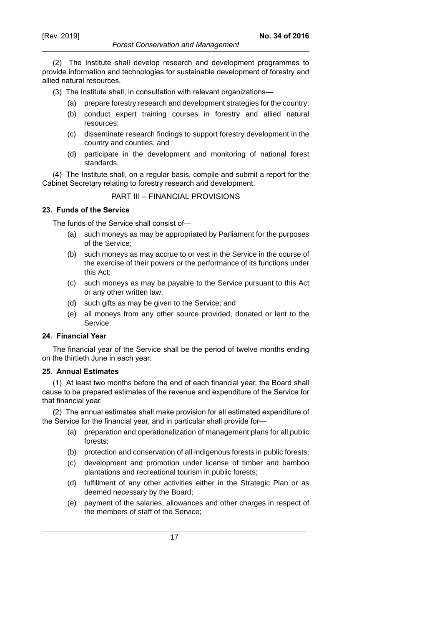#### *Forest Conservation and Management*

(2) The Institute shall develop research and development programmes to provide information and technologies for sustainable development of forestry and allied natural resources.

(3) The Institute shall, in consultation with relevant organizations—

- (a) prepare forestry research and development strategies for the country;
- (b) conduct expert training courses in forestry and allied natural resources;
- (c) disseminate research findings to support forestry development in the country and counties; and
- (d) participate in the development and monitoring of national forest standards.

(4) The Institute shall, on a regular basis, compile and submit a report for the Cabinet Secretary relating to forestry research and development.

### PART III – FINANCIAL PROVISIONS

## **23. Funds of the Service**

The funds of the Service shall consist of—

- (a) such moneys as may be appropriated by Parliament for the purposes of the Service;
- (b) such moneys as may accrue to or vest in the Service in the course of the exercise of their powers or the performance of its functions under this Act;
- (c) such moneys as may be payable to the Service pursuant to this Act or any other written law;
- (d) such gifts as may be given to the Service; and
- (e) all moneys from any other source provided, donated or lent to the Service.

### **24. Financial Year**

The financial year of the Service shall be the period of twelve months ending on the thirtieth June in each year.

### **25. Annual Estimates**

(1) At least two months before the end of each financial year, the Board shall cause to be prepared estimates of the revenue and expenditure of the Service for that financial year.

(2) The annual estimates shall make provision for all estimated expenditure of the Service for the financial year, and in particular shall provide for—

- (a) preparation and operationalization of management plans for all public forests;
- (b) protection and conservation of all indigenous forests in public forests;
- (c) development and promotion under license of timber and bamboo plantations and recreational tourism in public forests;
- (d) fulfillment of any other activities either in the Strategic Plan or as deemed necessary by the Board;
- (e) payment of the salaries, allowances and other charges in respect of the members of staff of the Service;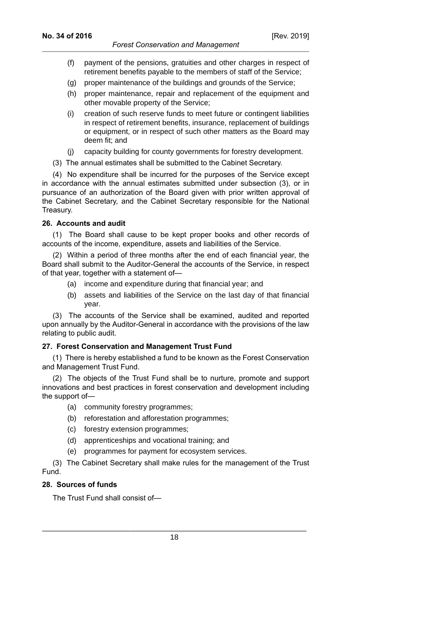- (f) payment of the pensions, gratuities and other charges in respect of retirement benefits payable to the members of staff of the Service;
- (g) proper maintenance of the buildings and grounds of the Service;
- (h) proper maintenance, repair and replacement of the equipment and other movable property of the Service;
- (i) creation of such reserve funds to meet future or contingent liabilities in respect of retirement benefits, insurance, replacement of buildings or equipment, or in respect of such other matters as the Board may deem fit; and
- (j) capacity building for county governments for forestry development.
- (3) The annual estimates shall be submitted to the Cabinet Secretary.

(4) No expenditure shall be incurred for the purposes of the Service except in accordance with the annual estimates submitted under subsection (3), or in pursuance of an authorization of the Board given with prior written approval of the Cabinet Secretary, and the Cabinet Secretary responsible for the National Treasury.

## **26. Accounts and audit**

(1) The Board shall cause to be kept proper books and other records of accounts of the income, expenditure, assets and liabilities of the Service.

(2) Within a period of three months after the end of each financial year, the Board shall submit to the Auditor-General the accounts of the Service, in respect of that year, together with a statement of—

- (a) income and expenditure during that financial year; and
- (b) assets and liabilities of the Service on the last day of that financial year.

(3) The accounts of the Service shall be examined, audited and reported upon annually by the Auditor-General in accordance with the provisions of the law relating to public audit.

## **27. Forest Conservation and Management Trust Fund**

(1) There is hereby established a fund to be known as the Forest Conservation and Management Trust Fund.

(2) The objects of the Trust Fund shall be to nurture, promote and support innovations and best practices in forest conservation and development including the support of—

- (a) community forestry programmes;
- (b) reforestation and afforestation programmes;
- (c) forestry extension programmes;
- (d) apprenticeships and vocational training; and
- (e) programmes for payment for ecosystem services.

(3) The Cabinet Secretary shall make rules for the management of the Trust Fund.

## **28. Sources of funds**

The Trust Fund shall consist of—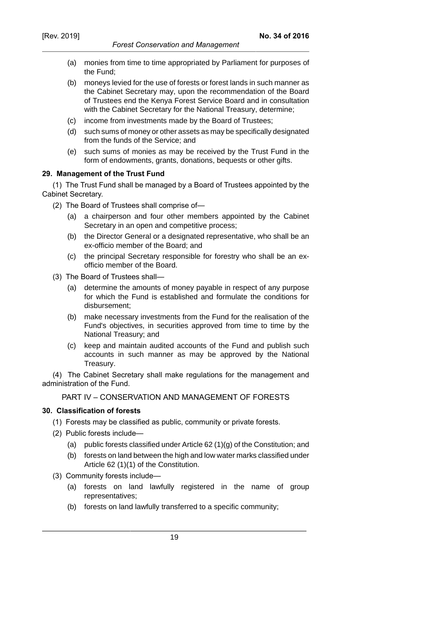- (a) monies from time to time appropriated by Parliament for purposes of the Fund;
- (b) moneys levied for the use of forests or forest lands in such manner as the Cabinet Secretary may, upon the recommendation of the Board of Trustees end the Kenya Forest Service Board and in consultation with the Cabinet Secretary for the National Treasury, determine;
- (c) income from investments made by the Board of Trustees;
- (d) such sums of money or other assets as may be specifically designated from the funds of the Service; and
- (e) such sums of monies as may be received by the Trust Fund in the form of endowments, grants, donations, bequests or other gifts.

### **29. Management of the Trust Fund**

(1) The Trust Fund shall be managed by a Board of Trustees appointed by the Cabinet Secretary.

(2) The Board of Trustees shall comprise of—

- (a) a chairperson and four other members appointed by the Cabinet Secretary in an open and competitive process;
- (b) the Director General or a designated representative, who shall be an ex-officio member of the Board; and
- (c) the principal Secretary responsible for forestry who shall be an exofficio member of the Board.
- (3) The Board of Trustees shall—
	- (a) determine the amounts of money payable in respect of any purpose for which the Fund is established and formulate the conditions for disbursement;
	- (b) make necessary investments from the Fund for the realisation of the Fund's objectives, in securities approved from time to time by the National Treasury; and
	- (c) keep and maintain audited accounts of the Fund and publish such accounts in such manner as may be approved by the National Treasury.

(4) The Cabinet Secretary shall make regulations for the management and administration of the Fund.

## PART IV – CONSERVATION AND MANAGEMENT OF FORESTS

### **30. Classification of forests**

- (1) Forests may be classified as public, community or private forests.
- (2) Public forests include—
	- (a) public forests classified under Article 62 (1)(g) of the Constitution; and
	- (b) forests on land between the high and low water marks classified under Article 62 (1)(1) of the Constitution.
- (3) Community forests include—
	- (a) forests on land lawfully registered in the name of group representatives;
	- (b) forests on land lawfully transferred to a specific community;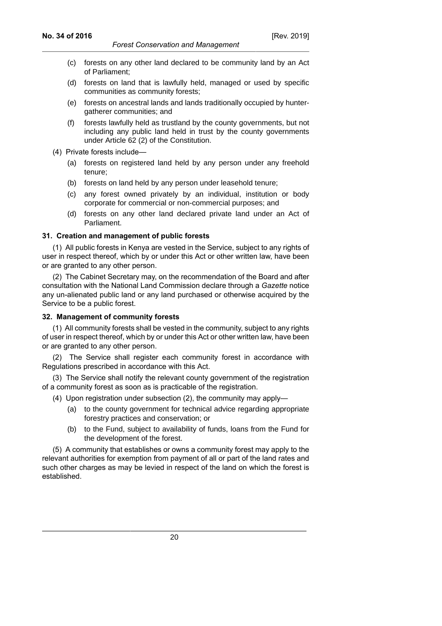- (c) forests on any other land declared to be community land by an Act of Parliament;
- (d) forests on land that is lawfully held, managed or used by specific communities as community forests;
- (e) forests on ancestral lands and lands traditionally occupied by huntergatherer communities; and
- (f) forests lawfully held as trustland by the county governments, but not including any public land held in trust by the county governments under Article 62 (2) of the Constitution.
- (4) Private forests include—
	- (a) forests on registered land held by any person under any freehold tenure;
	- (b) forests on land held by any person under leasehold tenure;
	- (c) any forest owned privately by an individual, institution or body corporate for commercial or non-commercial purposes; and
	- (d) forests on any other land declared private land under an Act of Parliament.

## **31. Creation and management of public forests**

(1) All public forests in Kenya are vested in the Service, subject to any rights of user in respect thereof, which by or under this Act or other written law, have been or are granted to any other person.

(2) The Cabinet Secretary may, on the recommendation of the Board and after consultation with the National Land Commission declare through a *Gazette* notice any un-alienated public land or any land purchased or otherwise acquired by the Service to be a public forest.

## **32. Management of community forests**

(1) All community forests shall be vested in the community, subject to any rights of user in respect thereof, which by or under this Act or other written law, have been or are granted to any other person.

(2) The Service shall register each community forest in accordance with Regulations prescribed in accordance with this Act.

(3) The Service shall notify the relevant county government of the registration of a community forest as soon as is practicable of the registration.

- (4) Upon registration under subsection (2), the community may apply—
	- (a) to the county government for technical advice regarding appropriate forestry practices and conservation; or
	- (b) to the Fund, subject to availability of funds, loans from the Fund for the development of the forest.

(5) A community that establishes or owns a community forest may apply to the relevant authorities for exemption from payment of all or part of the land rates and such other charges as may be levied in respect of the land on which the forest is established.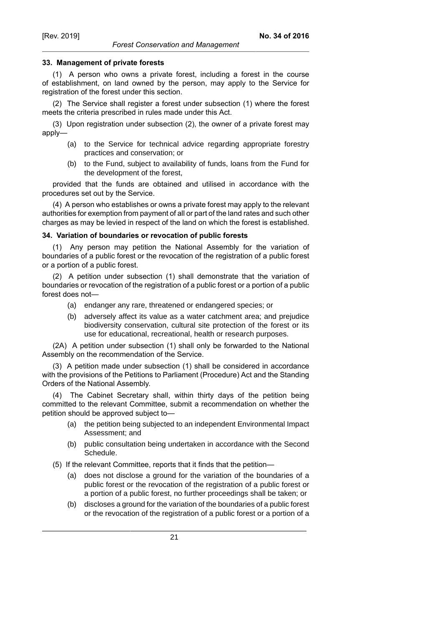#### **33. Management of private forests**

(1) A person who owns a private forest, including a forest in the course of establishment, on land owned by the person, may apply to the Service for registration of the forest under this section.

(2) The Service shall register a forest under subsection (1) where the forest meets the criteria prescribed in rules made under this Act.

(3) Upon registration under subsection (2), the owner of a private forest may apply—

- (a) to the Service for technical advice regarding appropriate forestry practices and conservation; or
- (b) to the Fund, subject to availability of funds, loans from the Fund for the development of the forest,

provided that the funds are obtained and utilised in accordance with the procedures set out by the Service.

(4) A person who establishes or owns a private forest may apply to the relevant authorities for exemption from payment of all or part of the land rates and such other charges as may be levied in respect of the land on which the forest is established.

#### **34. Variation of boundaries or revocation of public forests**

(1) Any person may petition the National Assembly for the variation of boundaries of a public forest or the revocation of the registration of a public forest or a portion of a public forest.

(2) A petition under subsection (1) shall demonstrate that the variation of boundaries or revocation of the registration of a public forest or a portion of a public forest does not—

- (a) endanger any rare, threatened or endangered species; or
- (b) adversely affect its value as a water catchment area; and prejudice biodiversity conservation, cultural site protection of the forest or its use for educational, recreational, health or research purposes.

(2A) A petition under subsection (1) shall only be forwarded to the National Assembly on the recommendation of the Service.

(3) A petition made under subsection (1) shall be considered in accordance with the provisions of the Petitions to Parliament (Procedure) Act and the Standing Orders of the National Assembly.

(4) The Cabinet Secretary shall, within thirty days of the petition being committed to the relevant Committee, submit a recommendation on whether the petition should be approved subject to—

- (a) the petition being subjected to an independent Environmental Impact Assessment; and
- (b) public consultation being undertaken in accordance with the Second Schedule.
- (5) If the relevant Committee, reports that it finds that the petition—
	- (a) does not disclose a ground for the variation of the boundaries of a public forest or the revocation of the registration of a public forest or a portion of a public forest, no further proceedings shall be taken; or
	- (b) discloses a ground for the variation of the boundaries of a public forest or the revocation of the registration of a public forest or a portion of a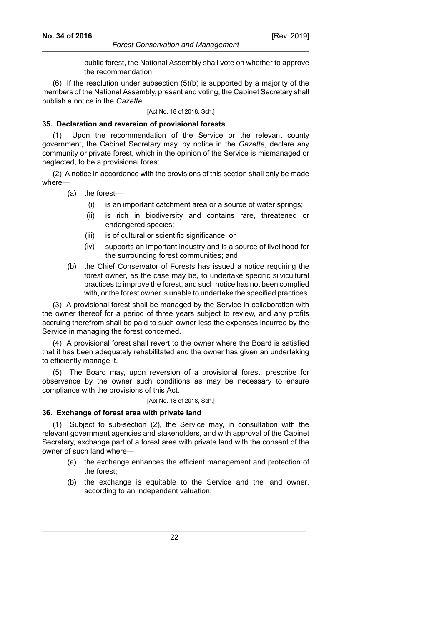public forest, the National Assembly shall vote on whether to approve the recommendation.

(6) If the resolution under subsection (5)(b) is supported by a majority of the members of the National Assembly, present and voting, the Cabinet Secretary shall publish a notice in the *Gazette*.

[Act No. 18 of 2018, Sch.]

## **35. Declaration and reversion of provisional forests**

Upon the recommendation of the Service or the relevant county government, the Cabinet Secretary may, by notice in the *Gazette*, declare any community or private forest, which in the opinion of the Service is mismanaged or neglected, to be a provisional forest.

(2) A notice in accordance with the provisions of this section shall only be made where—

(a) the forest—

- (i) is an important catchment area or a source of water springs;
- (ii) is rich in biodiversity and contains rare, threatened or endangered species;
- (iii) is of cultural or scientific significance; or
- (iv) supports an important industry and is a source of livelihood for the surrounding forest communities; and
- (b) the Chief Conservator of Forests has issued a notice requiring the forest owner, as the case may be, to undertake specific silvicultural practices to improve the forest, and such notice has not been complied with, or the forest owner is unable to undertake the specified practices.

(3) A provisional forest shall be managed by the Service in collaboration with the owner thereof for a period of three years subject to review, and any profits accruing therefrom shall be paid to such owner less the expenses incurred by the Service in managing the forest concerned.

(4) A provisional forest shall revert to the owner where the Board is satisfied that it has been adequately rehabilitated and the owner has given an undertaking to efficiently manage it.

(5) The Board may, upon reversion of a provisional forest, prescribe for observance by the owner such conditions as may be necessary to ensure compliance with the provisions of this Act.

[Act No. 18 of 2018, Sch.]

#### **36. Exchange of forest area with private land**

(1) Subject to sub-section (2), the Service may, in consultation with the relevant government agencies and stakeholders, and with approval of the Cabinet Secretary, exchange part of a forest area with private land with the consent of the owner of such land where—

- (a) the exchange enhances the efficient management and protection of the forest;
- (b) the exchange is equitable to the Service and the land owner, according to an independent valuation;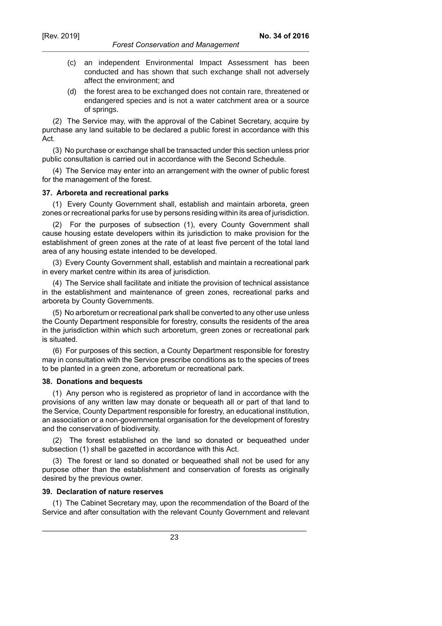#### *Forest Conservation and Management*

- (c) an independent Environmental Impact Assessment has been conducted and has shown that such exchange shall not adversely affect the environment; and
- (d) the forest area to be exchanged does not contain rare, threatened or endangered species and is not a water catchment area or a source of springs.

(2) The Service may, with the approval of the Cabinet Secretary, acquire by purchase any land suitable to be declared a public forest in accordance with this Act.

(3) No purchase or exchange shall be transacted under this section unless prior public consultation is carried out in accordance with the Second Schedule.

(4) The Service may enter into an arrangement with the owner of public forest for the management of the forest.

#### **37. Arboreta and recreational parks**

(1) Every County Government shall, establish and maintain arboreta, green zones or recreational parks for use by persons residing within its area of jurisdiction.

(2) For the purposes of subsection (1), every County Government shall cause housing estate developers within its jurisdiction to make provision for the establishment of green zones at the rate of at least five percent of the total land area of any housing estate intended to be developed.

(3) Every County Government shall, establish and maintain a recreational park in every market centre within its area of jurisdiction.

(4) The Service shall facilitate and initiate the provision of technical assistance in the establishment and maintenance of green zones, recreational parks and arboreta by County Governments.

(5) No arboretum or recreational park shall be converted to any other use unless the County Department responsible for forestry, consults the residents of the area in the jurisdiction within which such arboretum, green zones or recreational park is situated.

(6) For purposes of this section, a County Department responsible for forestry may in consultation with the Service prescribe conditions as to the species of trees to be planted in a green zone, arboretum or recreational park.

#### **38. Donations and bequests**

(1) Any person who is registered as proprietor of land in accordance with the provisions of any written law may donate or bequeath all or part of that land to the Service, County Department responsible for forestry, an educational institution, an association or a non-governmental organisation for the development of forestry and the conservation of biodiversity.

(2) The forest established on the land so donated or bequeathed under subsection (1) shall be gazetted in accordance with this Act.

(3) The forest or land so donated or bequeathed shall not be used for any purpose other than the establishment and conservation of forests as originally desired by the previous owner.

#### **39. Declaration of nature reserves**

(1) The Cabinet Secretary may, upon the recommendation of the Board of the Service and after consultation with the relevant County Government and relevant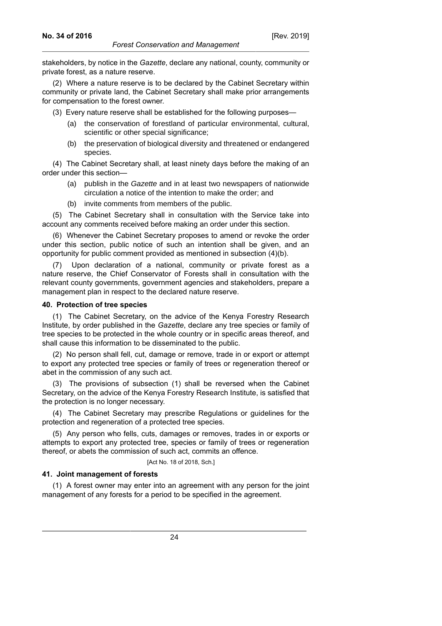stakeholders, by notice in the *Gazette*, declare any national, county, community or private forest, as a nature reserve.

(2) Where a nature reserve is to be declared by the Cabinet Secretary within community or private land, the Cabinet Secretary shall make prior arrangements for compensation to the forest owner.

(3) Every nature reserve shall be established for the following purposes—

- (a) the conservation of forestland of particular environmental, cultural, scientific or other special significance;
- (b) the preservation of biological diversity and threatened or endangered species.

(4) The Cabinet Secretary shall, at least ninety days before the making of an order under this section—

- (a) publish in the Gazette and in at least two newspapers of nationwide circulation a notice of the intention to make the order; and
- (b) invite comments from members of the public.

(5) The Cabinet Secretary shall in consultation with the Service take into account any comments received before making an order under this section.

(6) Whenever the Cabinet Secretary proposes to amend or revoke the order under this section, public notice of such an intention shall be given, and an opportunity for public comment provided as mentioned in subsection (4)(b).

(7) Upon declaration of a national, community or private forest as a nature reserve, the Chief Conservator of Forests shall in consultation with the relevant county governments, government agencies and stakeholders, prepare a management plan in respect to the declared nature reserve.

#### **40. Protection of tree species**

(1) The Cabinet Secretary, on the advice of the Kenya Forestry Research Institute, by order published in the *Gazette*, declare any tree species or family of tree species to be protected in the whole country or in specific areas thereof, and shall cause this information to be disseminated to the public.

(2) No person shall fell, cut, damage or remove, trade in or export or attempt to export any protected tree species or family of trees or regeneration thereof or abet in the commission of any such act.

(3) The provisions of subsection (1) shall be reversed when the Cabinet Secretary, on the advice of the Kenya Forestry Research Institute, is satisfied that the protection is no longer necessary.

(4) The Cabinet Secretary may prescribe Regulations or guidelines for the protection and regeneration of a protected tree species.

(5) Any person who fells, cuts, damages or removes, trades in or exports or attempts to export any protected tree, species or family of trees or regeneration thereof, or abets the commission of such act, commits an offence.

#### [Act No. 18 of 2018, Sch.]

#### **41. Joint management of forests**

(1) A forest owner may enter into an agreement with any person for the joint management of any forests for a period to be specified in the agreement.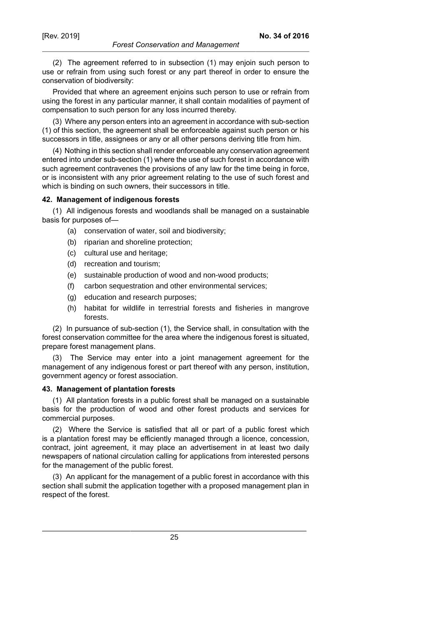(2) The agreement referred to in subsection (1) may enjoin such person to use or refrain from using such forest or any part thereof in order to ensure the conservation of biodiversity:

Provided that where an agreement enjoins such person to use or refrain from using the forest in any particular manner, it shall contain modalities of payment of compensation to such person for any loss incurred thereby.

(3) Where any person enters into an agreement in accordance with sub-section (1) of this section, the agreement shall be enforceable against such person or his successors in title, assignees or any or all other persons deriving title from him.

(4) Nothing in this section shall render enforceable any conservation agreement entered into under sub-section (1) where the use of such forest in accordance with such agreement contravenes the provisions of any law for the time being in force, or is inconsistent with any prior agreement relating to the use of such forest and which is binding on such owners, their successors in title.

### **42. Management of indigenous forests**

(1) All indigenous forests and woodlands shall be managed on a sustainable basis for purposes of—

- (a) conservation of water, soil and biodiversity;
- (b) riparian and shoreline protection;
- (c) cultural use and heritage;
- (d) recreation and tourism;
- (e) sustainable production of wood and non-wood products;
- (f) carbon sequestration and other environmental services;
- (g) education and research purposes;
- (h) habitat for wildlife in terrestrial forests and fisheries in mangrove forests.

(2) In pursuance of sub-section (1), the Service shall, in consultation with the forest conservation committee for the area where the indigenous forest is situated, prepare forest management plans.

(3) The Service may enter into a joint management agreement for the management of any indigenous forest or part thereof with any person, institution, government agency or forest association.

#### **43. Management of plantation forests**

(1) All plantation forests in a public forest shall be managed on a sustainable basis for the production of wood and other forest products and services for commercial purposes.

(2) Where the Service is satisfied that all or part of a public forest which is a plantation forest may be efficiently managed through a licence, concession, contract, joint agreement, it may place an advertisement in at least two daily newspapers of national circulation calling for applications from interested persons for the management of the public forest.

(3) An applicant for the management of a public forest in accordance with this section shall submit the application together with a proposed management plan in respect of the forest.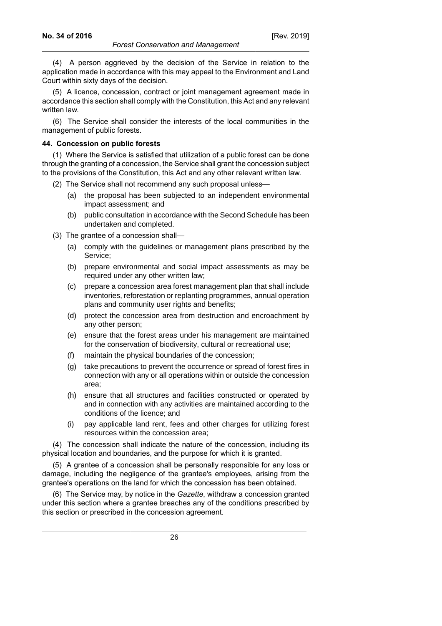(4) A person aggrieved by the decision of the Service in relation to the application made in accordance with this may appeal to the Environment and Land Court within sixty days of the decision.

*Forest Conservation and Management*

(5) A licence, concession, contract or joint management agreement made in accordance this section shall comply with the Constitution, this Act and any relevant written law.

(6) The Service shall consider the interests of the local communities in the management of public forests.

#### **44. Concession on public forests**

(1) Where the Service is satisfied that utilization of a public forest can be done through the granting of a concession, the Service shall grant the concession subject to the provisions of the Constitution, this Act and any other relevant written law.

- (2) The Service shall not recommend any such proposal unless—
	- (a) the proposal has been subjected to an independent environmental impact assessment; and
	- (b) public consultation in accordance with the Second Schedule has been undertaken and completed.
- (3) The grantee of a concession shall—
	- (a) comply with the guidelines or management plans prescribed by the Service;
	- (b) prepare environmental and social impact assessments as may be required under any other written law;
	- (c) prepare a concession area forest management plan that shall include inventories, reforestation or replanting programmes, annual operation plans and community user rights and benefits;
	- (d) protect the concession area from destruction and encroachment by any other person;
	- (e) ensure that the forest areas under his management are maintained for the conservation of biodiversity, cultural or recreational use;
	- (f) maintain the physical boundaries of the concession;
	- (g) take precautions to prevent the occurrence or spread of forest fires in connection with any or all operations within or outside the concession area;
	- (h) ensure that all structures and facilities constructed or operated by and in connection with any activities are maintained according to the conditions of the licence; and
	- (i) pay applicable land rent, fees and other charges for utilizing forest resources within the concession area;

(4) The concession shall indicate the nature of the concession, including its physical location and boundaries, and the purpose for which it is granted.

(5) A grantee of a concession shall be personally responsible for any loss or damage, including the negligence of the grantee's employees, arising from the grantee's operations on the land for which the concession has been obtained.

(6) The Service may, by notice in the *Gazette*, withdraw a concession granted under this section where a grantee breaches any of the conditions prescribed by this section or prescribed in the concession agreement.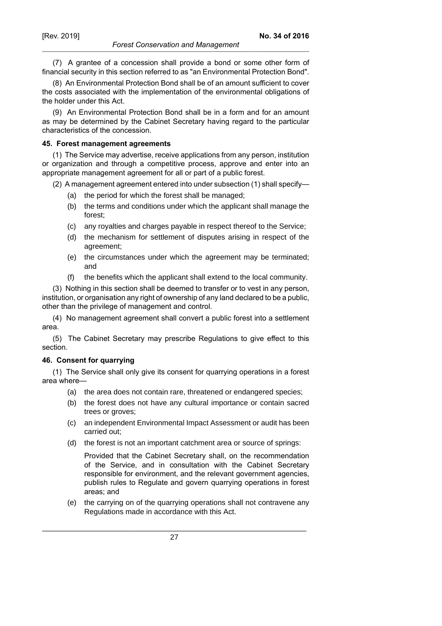#### *Forest Conservation and Management*

(7) A grantee of a concession shall provide a bond or some other form of financial security in this section referred to as "an Environmental Protection Bond".

(8) An Environmental Protection Bond shall be of an amount sufficient to cover the costs associated with the implementation of the environmental obligations of the holder under this Act.

(9) An Environmental Protection Bond shall be in a form and for an amount as may be determined by the Cabinet Secretary having regard to the particular characteristics of the concession.

#### **45. Forest management agreements**

(1) The Service may advertise, receive applications from any person, institution or organization and through a competitive process, approve and enter into an appropriate management agreement for all or part of a public forest.

(2) A management agreement entered into under subsection (1) shall specify—

- (a) the period for which the forest shall be managed;
- (b) the terms and conditions under which the applicant shall manage the forest;
- (c) any royalties and charges payable in respect thereof to the Service;
- (d) the mechanism for settlement of disputes arising in respect of the agreement;
- (e) the circumstances under which the agreement may be terminated; and
- (f) the benefits which the applicant shall extend to the local community.

(3) Nothing in this section shall be deemed to transfer or to vest in any person, institution, or organisation any right of ownership of any land declared to be a public, other than the privilege of management and control.

(4) No management agreement shall convert a public forest into a settlement area.

(5) The Cabinet Secretary may prescribe Regulations to give effect to this section.

## **46. Consent for quarrying**

(1) The Service shall only give its consent for quarrying operations in a forest area where—

- (a) the area does not contain rare, threatened or endangered species;
- (b) the forest does not have any cultural importance or contain sacred trees or groves;
- (c) an independent Environmental Impact Assessment or audit has been carried out;
- (d) the forest is not an important catchment area or source of springs:

Provided that the Cabinet Secretary shall, on the recommendation of the Service, and in consultation with the Cabinet Secretary responsible for environment, and the relevant government agencies, publish rules to Regulate and govern quarrying operations in forest areas; and

(e) the carrying on of the quarrying operations shall not contravene any Regulations made in accordance with this Act.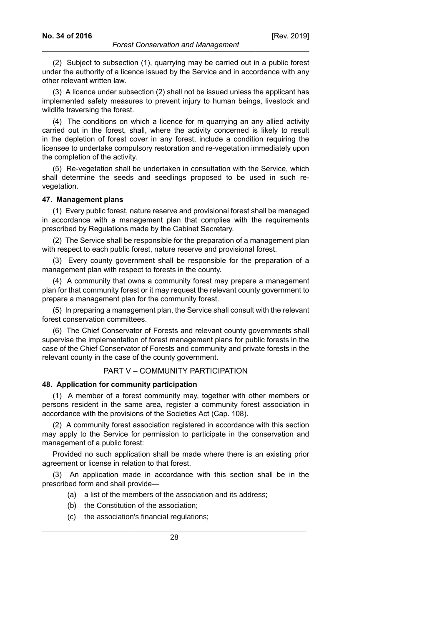(2) Subject to subsection (1), quarrying may be carried out in a public forest under the authority of a licence issued by the Service and in accordance with any other relevant written law.

(3) A licence under subsection (2) shall not be issued unless the applicant has implemented safety measures to prevent injury to human beings, livestock and wildlife traversing the forest.

(4) The conditions on which a licence for m quarrying an any allied activity carried out in the forest, shall, where the activity concerned is likely to result in the depletion of forest cover in any forest, include a condition requiring the licensee to undertake compulsory restoration and re-vegetation immediately upon the completion of the activity.

(5) Re-vegetation shall be undertaken in consultation with the Service, which shall determine the seeds and seedlings proposed to be used in such revegetation.

#### **47. Management plans**

(1) Every public forest, nature reserve and provisional forest shall be managed in accordance with a management plan that complies with the requirements prescribed by Regulations made by the Cabinet Secretary.

(2) The Service shall be responsible for the preparation of a management plan with respect to each public forest, nature reserve and provisional forest.

(3) Every county government shall be responsible for the preparation of a management plan with respect to forests in the county.

(4) A community that owns a community forest may prepare a management plan for that community forest or it may request the relevant county government to prepare a management plan for the community forest.

(5) In preparing a management plan, the Service shall consult with the relevant forest conservation committees.

(6) The Chief Conservator of Forests and relevant county governments shall supervise the implementation of forest management plans for public forests in the case of the Chief Conservator of Forests and community and private forests in the relevant county in the case of the county government.

### PART V – COMMUNITY PARTICIPATION

#### **48. Application for community participation**

(1) A member of a forest community may, together with other members or persons resident in the same area, register a community forest association in accordance with the provisions of the Societies Act (Cap. 108).

(2) A community forest association registered in accordance with this section may apply to the Service for permission to participate in the conservation and management of a public forest:

Provided no such application shall be made where there is an existing prior agreement or license in relation to that forest.

(3) An application made in accordance with this section shall be in the prescribed form and shall provide—

- (a) a list of the members of the association and its address;
- (b) the Constitution of the association;
- (c) the association's financial regulations;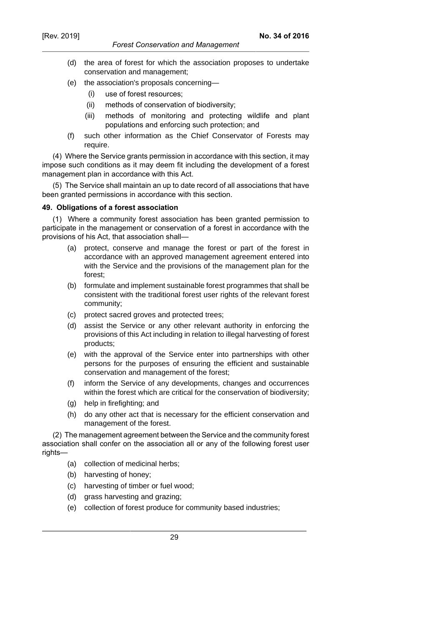(d) the area of forest for which the association proposes to undertake conservation and management;

**No. 34 of 2016**

- (e) the association's proposals concerning—
	- (i) use of forest resources;
	- (ii) methods of conservation of biodiversity;
	- (iii) methods of monitoring and protecting wildlife and plant populations and enforcing such protection; and
- (f) such other information as the Chief Conservator of Forests may require.

(4) Where the Service grants permission in accordance with this section, it may impose such conditions as it may deem fit including the development of a forest management plan in accordance with this Act.

(5) The Service shall maintain an up to date record of all associations that have been granted permissions in accordance with this section.

## **49. Obligations of a forest association**

(1) Where a community forest association has been granted permission to participate in the management or conservation of a forest in accordance with the provisions of his Act, that association shall—

- (a) protect, conserve and manage the forest or part of the forest in accordance with an approved management agreement entered into with the Service and the provisions of the management plan for the forest;
- (b) formulate and implement sustainable forest programmes that shall be consistent with the traditional forest user rights of the relevant forest community;
- (c) protect sacred groves and protected trees;
- (d) assist the Service or any other relevant authority in enforcing the provisions of this Act including in relation to illegal harvesting of forest products;
- (e) with the approval of the Service enter into partnerships with other persons for the purposes of ensuring the efficient and sustainable conservation and management of the forest;
- (f) inform the Service of any developments, changes and occurrences within the forest which are critical for the conservation of biodiversity;
- (g) help in firefighting; and
- (h) do any other act that is necessary for the efficient conservation and management of the forest.

(2) The management agreement between the Service and the community forest association shall confer on the association all or any of the following forest user rights—

- (a) collection of medicinal herbs;
- (b) harvesting of honey;
- (c) harvesting of timber or fuel wood;
- (d) grass harvesting and grazing;
- (e) collection of forest produce for community based industries;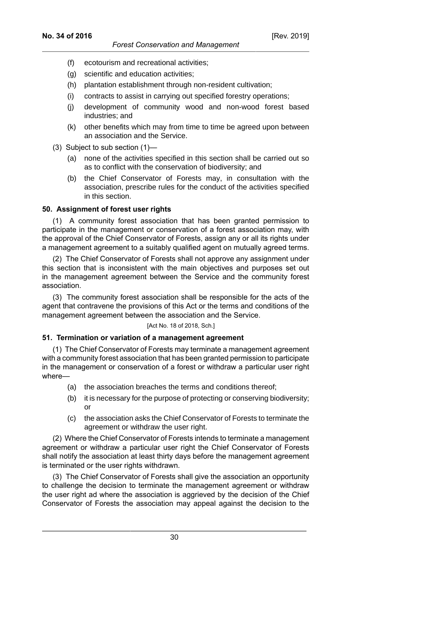- (f) ecotourism and recreational activities;
- (g) scientific and education activities;
- (h) plantation establishment through non-resident cultivation;
- (i) contracts to assist in carrying out specified forestry operations;
- (j) development of community wood and non-wood forest based industries; and
- (k) other benefits which may from time to time be agreed upon between an association and the Service.

(3) Subject to sub section (1)—

- (a) none of the activities specified in this section shall be carried out so as to conflict with the conservation of biodiversity; and
- (b) the Chief Conservator of Forests may, in consultation with the association, prescribe rules for the conduct of the activities specified in this section.

## **50. Assignment of forest user rights**

(1) A community forest association that has been granted permission to participate in the management or conservation of a forest association may, with the approval of the Chief Conservator of Forests, assign any or all its rights under a management agreement to a suitably qualified agent on mutually agreed terms.

(2) The Chief Conservator of Forests shall not approve any assignment under this section that is inconsistent with the main objectives and purposes set out in the management agreement between the Service and the community forest association.

(3) The community forest association shall be responsible for the acts of the agent that contravene the provisions of this Act or the terms and conditions of the management agreement between the association and the Service.

[Act No. 18 of 2018, Sch.]

## **51. Termination or variation of a management agreement**

(1) The Chief Conservator of Forests may terminate a management agreement with a community forest association that has been granted permission to participate in the management or conservation of a forest or withdraw a particular user right where—

- (a) the association breaches the terms and conditions thereof;
- (b) it is necessary for the purpose of protecting or conserving biodiversity; or
- (c) the association asks the Chief Conservator of Forests to terminate the agreement or withdraw the user right.

(2) Where the Chief Conservator of Forests intends to terminate a management agreement or withdraw a particular user right the Chief Conservator of Forests shall notify the association at least thirty days before the management agreement is terminated or the user rights withdrawn.

(3) The Chief Conservator of Forests shall give the association an opportunity to challenge the decision to terminate the management agreement or withdraw the user right ad where the association is aggrieved by the decision of the Chief Conservator of Forests the association may appeal against the decision to the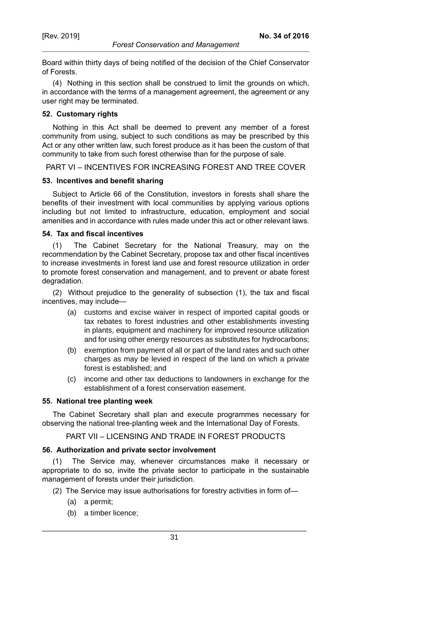*Forest Conservation and Management*

Board within thirty days of being notified of the decision of the Chief Conservator of Forests.

(4) Nothing in this section shall be construed to limit the grounds on which, in accordance with the terms of a management agreement, the agreement or any user right may be terminated.

#### **52. Customary rights**

Nothing in this Act shall be deemed to prevent any member of a forest community from using, subject to such conditions as may be prescribed by this Act or any other written law, such forest produce as it has been the custom of that community to take from such forest otherwise than for the purpose of sale.

PART VI – INCENTIVES FOR INCREASING FOREST AND TREE COVER

#### **53. Incentives and benefit sharing**

Subject to Article 66 of the Constitution, investors in forests shall share the benefits of their investment with local communities by applying various options including but not limited to infrastructure, education, employment and social amenities and in accordance with rules made under this act or other relevant laws.

#### **54. Tax and fiscal incentives**

(1) The Cabinet Secretary for the National Treasury, may on the recommendation by the Cabinet Secretary, propose tax and other fiscal incentives to increase investments in forest land use and forest resource utilization in order to promote forest conservation and management, and to prevent or abate forest degradation.

(2) Without prejudice to the generality of subsection (1), the tax and fiscal incentives, may include—

- (a) customs and excise waiver in respect of imported capital goods or tax rebates to forest industries and other establishments investing in plants, equipment and machinery for improved resource utilization and for using other energy resources as substitutes for hydrocarbons;
- (b) exemption from payment of all or part of the land rates and such other charges as may be levied in respect of the land on which a private forest is established; and
- (c) income and other tax deductions to landowners in exchange for the establishment of a forest conservation easement.

#### **55. National tree planting week**

The Cabinet Secretary shall plan and execute programmes necessary for observing the national tree-planting week and the International Day of Forests.

PART VII – LICENSING AND TRADE IN FOREST PRODUCTS

#### **56. Authorization and private sector involvement**

(1) The Service may, whenever circumstances make it necessary or appropriate to do so, invite the private sector to participate in the sustainable management of forests under their jurisdiction.

(2) The Service may issue authorisations for forestry activities in form of—

- (a) a permit;
- (b) a timber licence;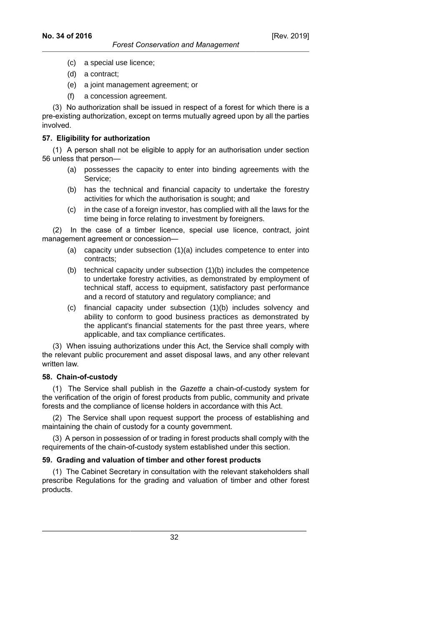- (c) a special use licence;
- (d) a contract;
- (e) a joint management agreement; or
- (f) a concession agreement.

(3) No authorization shall be issued in respect of a forest for which there is a pre-existing authorization, except on terms mutually agreed upon by all the parties involved.

## **57. Eligibility for authorization**

(1) A person shall not be eligible to apply for an authorisation under section 56 unless that person—

- (a) possesses the capacity to enter into binding agreements with the Service;
- (b) has the technical and financial capacity to undertake the forestry activities for which the authorisation is sought; and
- (c) in the case of a foreign investor, has complied with all the laws for the time being in force relating to investment by foreigners.

(2) In the case of a timber licence, special use licence, contract, joint management agreement or concession—

- (a) capacity under subsection (1)(a) includes competence to enter into contracts;
- (b) technical capacity under subsection (1)(b) includes the competence to undertake forestry activities, as demonstrated by employment of technical staff, access to equipment, satisfactory past performance and a record of statutory and regulatory compliance; and
- (c) financial capacity under subsection (1)(b) includes solvency and ability to conform to good business practices as demonstrated by the applicant's financial statements for the past three years, where applicable, and tax compliance certificates.

(3) When issuing authorizations under this Act, the Service shall comply with the relevant public procurement and asset disposal laws, and any other relevant written law.

### **58. Chain-of-custody**

(1) The Service shall publish in the *Gazette* a chain-of-custody system for the verification of the origin of forest products from public, community and private forests and the compliance of license holders in accordance with this Act.

(2) The Service shall upon request support the process of establishing and maintaining the chain of custody for a county government.

(3) A person in possession of or trading in forest products shall comply with the requirements of the chain-of-custody system established under this section.

### **59. Grading and valuation of timber and other forest products**

(1) The Cabinet Secretary in consultation with the relevant stakeholders shall prescribe Regulations for the grading and valuation of timber and other forest products.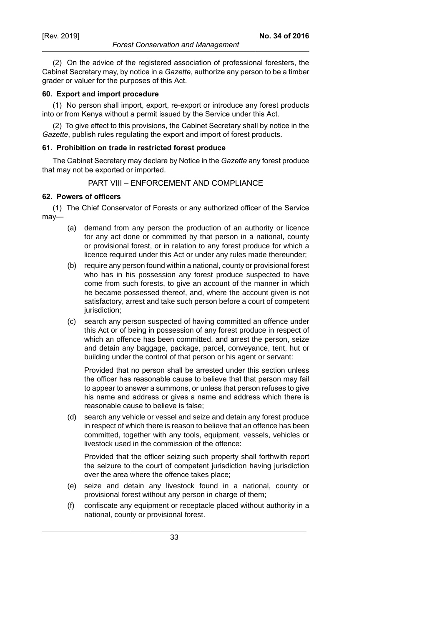*Forest Conservation and Management*

(2) On the advice of the registered association of professional foresters, the Cabinet Secretary may, by notice in a *Gazette*, authorize any person to be a timber grader or valuer for the purposes of this Act.

### **60. Export and import procedure**

(1) No person shall import, export, re-export or introduce any forest products into or from Kenya without a permit issued by the Service under this Act.

(2) To give effect to this provisions, the Cabinet Secretary shall by notice in the *Gazette*, publish rules regulating the export and import of forest products.

#### **61. Prohibition on trade in restricted forest produce**

The Cabinet Secretary may declare by Notice in the *Gazette* any forest produce that may not be exported or imported.

### PART VIII – ENFORCEMENT AND COMPLIANCE

#### **62. Powers of officers**

(1) The Chief Conservator of Forests or any authorized officer of the Service may—

- (a) demand from any person the production of an authority or licence for any act done or committed by that person in a national, county or provisional forest, or in relation to any forest produce for which a licence required under this Act or under any rules made thereunder;
- (b) require any person found within a national, county or provisional forest who has in his possession any forest produce suspected to have come from such forests, to give an account of the manner in which he became possessed thereof, and, where the account given is not satisfactory, arrest and take such person before a court of competent jurisdiction;
- (c) search any person suspected of having committed an offence under this Act or of being in possession of any forest produce in respect of which an offence has been committed, and arrest the person, seize and detain any baggage, package, parcel, conveyance, tent, hut or building under the control of that person or his agent or servant:

Provided that no person shall be arrested under this section unless the officer has reasonable cause to believe that that person may fail to appear to answer a summons, or unless that person refuses to give his name and address or gives a name and address which there is reasonable cause to believe is false;

(d) search any vehicle or vessel and seize and detain any forest produce in respect of which there is reason to believe that an offence has been committed, together with any tools, equipment, vessels, vehicles or livestock used in the commission of the offence:

Provided that the officer seizing such property shall forthwith report the seizure to the court of competent jurisdiction having jurisdiction over the area where the offence takes place;

- (e) seize and detain any livestock found in a national, county or provisional forest without any person in charge of them;
- (f) confiscate any equipment or receptacle placed without authority in a national, county or provisional forest.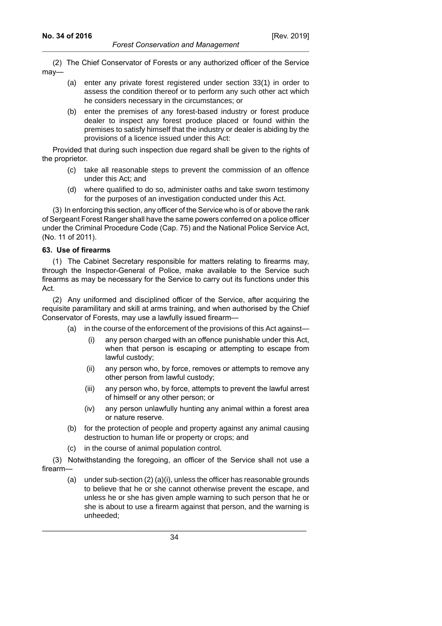(2) The Chief Conservator of Forests or any authorized officer of the Service may—

- (a) enter any private forest registered under section 33(1) in order to assess the condition thereof or to perform any such other act which he considers necessary in the circumstances; or
- (b) enter the premises of any forest-based industry or forest produce dealer to inspect any forest produce placed or found within the premises to satisfy himself that the industry or dealer is abiding by the provisions of a licence issued under this Act:

Provided that during such inspection due regard shall be given to the rights of the proprietor.

- (c) take all reasonable steps to prevent the commission of an offence under this Act; and
- (d) where qualified to do so, administer oaths and take sworn testimony for the purposes of an investigation conducted under this Act.

(3) In enforcing this section, any officer of the Service who is of or above the rank of Sergeant Forest Ranger shall have the same powers conferred on a police officer under the Criminal Procedure Code (Cap. 75) and the National Police Service Act, (No. 11 of 2011).

## **63. Use of firearms**

(1) The Cabinet Secretary responsible for matters relating to firearms may, through the Inspector-General of Police, make available to the Service such firearms as may be necessary for the Service to carry out its functions under this Act.

(2) Any uniformed and disciplined officer of the Service, after acquiring the requisite paramilitary and skill at arms training, and when authorised by the Chief Conservator of Forests, may use a lawfully issued firearm—

- (a) in the course of the enforcement of the provisions of this Act against—
	- (i) any person charged with an offence punishable under this Act, when that person is escaping or attempting to escape from lawful custody;
	- (ii) any person who, by force, removes or attempts to remove any other person from lawful custody;
	- (iii) any person who, by force, attempts to prevent the lawful arrest of himself or any other person; or
	- (iv) any person unlawfully hunting any animal within a forest area or nature reserve.
- (b) for the protection of people and property against any animal causing destruction to human life or property or crops; and
- (c) in the course of animal population control.

(3) Notwithstanding the foregoing, an officer of the Service shall not use a firearm—

(a) under sub-section (2) (a)(i), unless the officer has reasonable grounds to believe that he or she cannot otherwise prevent the escape, and unless he or she has given ample warning to such person that he or she is about to use a firearm against that person, and the warning is unheeded;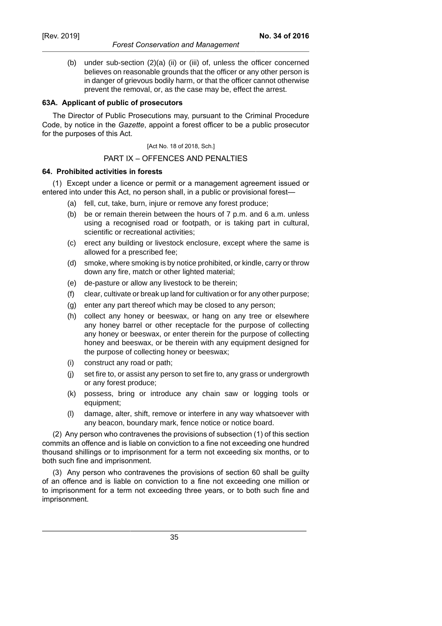(b) under sub-section (2)(a) (ii) or (iii) of, unless the officer concerned believes on reasonable grounds that the officer or any other person is in danger of grievous bodily harm, or that the officer cannot otherwise prevent the removal, or, as the case may be, effect the arrest.

### **63A. Applicant of public of prosecutors**

The Director of Public Prosecutions may, pursuant to the Criminal Procedure Code, by notice in the *Gazette*, appoint a forest officer to be a public prosecutor for the purposes of this Act.

[Act No. 18 of 2018, Sch.]

#### PART IX – OFFENCES AND PENALTIES

#### **64. Prohibited activities in forests**

(1) Except under a licence or permit or a management agreement issued or entered into under this Act, no person shall, in a public or provisional forest—

- (a) fell, cut, take, burn, injure or remove any forest produce;
- (b) be or remain therein between the hours of 7 p.m. and 6 a.m. unless using a recognised road or footpath, or is taking part in cultural, scientific or recreational activities;
- (c) erect any building or livestock enclosure, except where the same is allowed for a prescribed fee;
- (d) smoke, where smoking is by notice prohibited, or kindle, carry or throw down any fire, match or other lighted material;
- (e) de-pasture or allow any livestock to be therein;
- (f) clear, cultivate or break up land for cultivation or for any other purpose;
- (g) enter any part thereof which may be closed to any person;
- (h) collect any honey or beeswax, or hang on any tree or elsewhere any honey barrel or other receptacle for the purpose of collecting any honey or beeswax, or enter therein for the purpose of collecting honey and beeswax, or be therein with any equipment designed for the purpose of collecting honey or beeswax;
- (i) construct any road or path;
- (j) set fire to, or assist any person to set fire to, any grass or undergrowth or any forest produce;
- (k) possess, bring or introduce any chain saw or logging tools or equipment;
- (l) damage, alter, shift, remove or interfere in any way whatsoever with any beacon, boundary mark, fence notice or notice board.

(2) Any person who contravenes the provisions of subsection (1) of this section commits an offence and is liable on conviction to a fine not exceeding one hundred thousand shillings or to imprisonment for a term not exceeding six months, or to both such fine and imprisonment.

(3) Any person who contravenes the provisions of section 60 shall be guilty of an offence and is liable on conviction to a fine not exceeding one million or to imprisonment for a term not exceeding three years, or to both such fine and imprisonment.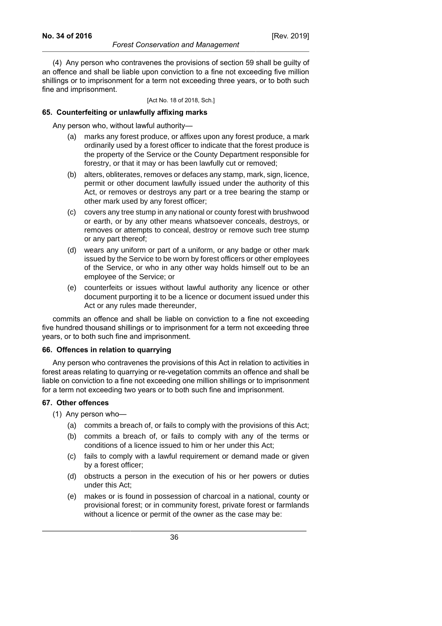[Act No. 18 of 2018, Sch.]

### **65. Counterfeiting or unlawfully affixing marks**

Any person who, without lawful authority—

- (a) marks any forest produce, or affixes upon any forest produce, a mark ordinarily used by a forest officer to indicate that the forest produce is the property of the Service or the County Department responsible for forestry, or that it may or has been lawfully cut or removed;
- (b) alters, obliterates, removes or defaces any stamp, mark, sign, licence, permit or other document lawfully issued under the authority of this Act, or removes or destroys any part or a tree bearing the stamp or other mark used by any forest officer;
- (c) covers any tree stump in any national or county forest with brushwood or earth, or by any other means whatsoever conceals, destroys, or removes or attempts to conceal, destroy or remove such tree stump or any part thereof;
- (d) wears any uniform or part of a uniform, or any badge or other mark issued by the Service to be worn by forest officers or other employees of the Service, or who in any other way holds himself out to be an employee of the Service; or
- (e) counterfeits or issues without lawful authority any licence or other document purporting it to be a licence or document issued under this Act or any rules made thereunder,

commits an offence and shall be liable on conviction to a fine not exceeding five hundred thousand shillings or to imprisonment for a term not exceeding three years, or to both such fine and imprisonment.

### **66. Offences in relation to quarrying**

Any person who contravenes the provisions of this Act in relation to activities in forest areas relating to quarrying or re-vegetation commits an offence and shall be liable on conviction to a fine not exceeding one million shillings or to imprisonment for a term not exceeding two years or to both such fine and imprisonment.

## **67. Other offences**

(1) Any person who—

- (a) commits a breach of, or fails to comply with the provisions of this Act;
- (b) commits a breach of, or fails to comply with any of the terms or conditions of a licence issued to him or her under this Act;
- (c) fails to comply with a lawful requirement or demand made or given by a forest officer;
- (d) obstructs a person in the execution of his or her powers or duties under this Act;
- (e) makes or is found in possession of charcoal in a national, county or provisional forest; or in community forest, private forest or farmlands without a licence or permit of the owner as the case may be: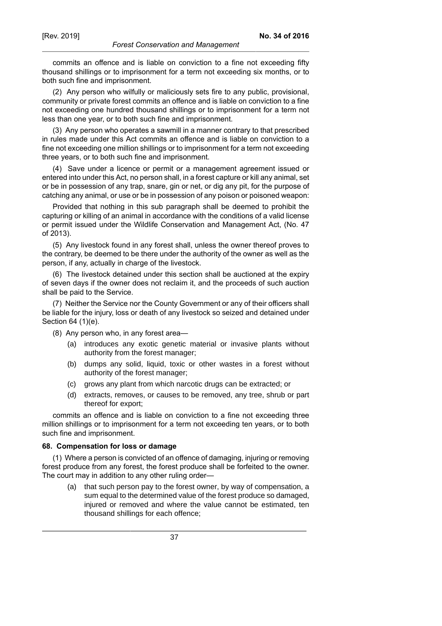commits an offence and is liable on conviction to a fine not exceeding fifty thousand shillings or to imprisonment for a term not exceeding six months, or to both such fine and imprisonment.

(2) Any person who wilfully or maliciously sets fire to any public, provisional, community or private forest commits an offence and is liable on conviction to a fine not exceeding one hundred thousand shillings or to imprisonment for a term not less than one year, or to both such fine and imprisonment.

(3) Any person who operates a sawmill in a manner contrary to that prescribed in rules made under this Act commits an offence and is liable on conviction to a fine not exceeding one million shillings or to imprisonment for a term not exceeding three years, or to both such fine and imprisonment.

(4) Save under a licence or permit or a management agreement issued or entered into under this Act, no person shall, in a forest capture or kill any animal, set or be in possession of any trap, snare, gin or net, or dig any pit, for the purpose of catching any animal, or use or be in possession of any poison or poisoned weapon:

Provided that nothing in this sub paragraph shall be deemed to prohibit the capturing or killing of an animal in accordance with the conditions of a valid license or permit issued under the Wildlife Conservation and Management Act, (No. 47 of 2013).

(5) Any livestock found in any forest shall, unless the owner thereof proves to the contrary, be deemed to be there under the authority of the owner as well as the person, if any, actually in charge of the livestock.

(6) The livestock detained under this section shall be auctioned at the expiry of seven days if the owner does not reclaim it, and the proceeds of such auction shall be paid to the Service.

(7) Neither the Service nor the County Government or any of their officers shall be liable for the injury, loss or death of any livestock so seized and detained under Section 64 (1)(e).

- (8) Any person who, in any forest area—
	- (a) introduces any exotic genetic material or invasive plants without authority from the forest manager;
	- (b) dumps any solid, liquid, toxic or other wastes in a forest without authority of the forest manager;
	- (c) grows any plant from which narcotic drugs can be extracted; or
	- (d) extracts, removes, or causes to be removed, any tree, shrub or part thereof for export;

commits an offence and is liable on conviction to a fine not exceeding three million shillings or to imprisonment for a term not exceeding ten years, or to both such fine and imprisonment.

#### **68. Compensation for loss or damage**

(1) Where a person is convicted of an offence of damaging, injuring or removing forest produce from any forest, the forest produce shall be forfeited to the owner. The court may in addition to any other ruling order—

(a) that such person pay to the forest owner, by way of compensation, a sum equal to the determined value of the forest produce so damaged, injured or removed and where the value cannot be estimated, ten thousand shillings for each offence;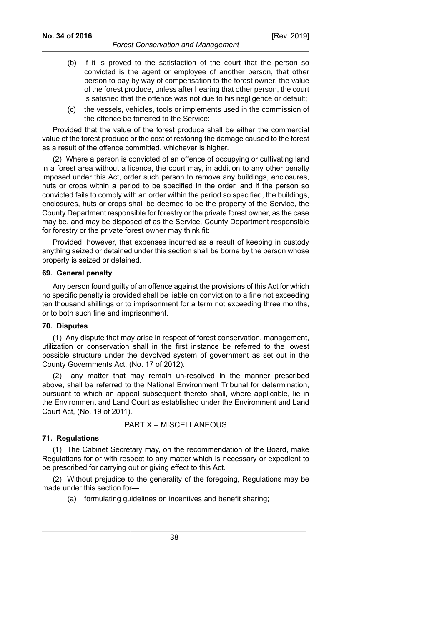#### *Forest Conservation and Management*

- (b) if it is proved to the satisfaction of the court that the person so convicted is the agent or employee of another person, that other person to pay by way of compensation to the forest owner, the value of the forest produce, unless after hearing that other person, the court is satisfied that the offence was not due to his negligence or default;
- (c) the vessels, vehicles, tools or implements used in the commission of the offence be forfeited to the Service:

Provided that the value of the forest produce shall be either the commercial value of the forest produce or the cost of restoring the damage caused to the forest as a result of the offence committed, whichever is higher.

(2) Where a person is convicted of an offence of occupying or cultivating land in a forest area without a licence, the court may, in addition to any other penalty imposed under this Act, order such person to remove any buildings, enclosures, huts or crops within a period to be specified in the order, and if the person so convicted fails to comply with an order within the period so specified, the buildings, enclosures, huts or crops shall be deemed to be the property of the Service, the County Department responsible for forestry or the private forest owner, as the case may be, and may be disposed of as the Service, County Department responsible for forestry or the private forest owner may think fit:

Provided, however, that expenses incurred as a result of keeping in custody anything seized or detained under this section shall be borne by the person whose property is seized or detained.

### **69. General penalty**

Any person found guilty of an offence against the provisions of this Act for which no specific penalty is provided shall be liable on conviction to a fine not exceeding ten thousand shillings or to imprisonment for a term not exceeding three months, or to both such fine and imprisonment.

#### **70. Disputes**

(1) Any dispute that may arise in respect of forest conservation, management, utilization or conservation shall in the first instance be referred to the lowest possible structure under the devolved system of government as set out in the County Governments Act, (No. 17 of 2012).

(2) any matter that may remain un-resolved in the manner prescribed above, shall be referred to the National Environment Tribunal for determination, pursuant to which an appeal subsequent thereto shall, where applicable, lie in the Environment and Land Court as established under the Environment and Land Court Act, (No. 19 of 2011).

### PART X – MISCELLANEOUS

#### **71. Regulations**

(1) The Cabinet Secretary may, on the recommendation of the Board, make Regulations for or with respect to any matter which is necessary or expedient to be prescribed for carrying out or giving effect to this Act.

(2) Without prejudice to the generality of the foregoing, Regulations may be made under this section for—

(a) formulating guidelines on incentives and benefit sharing;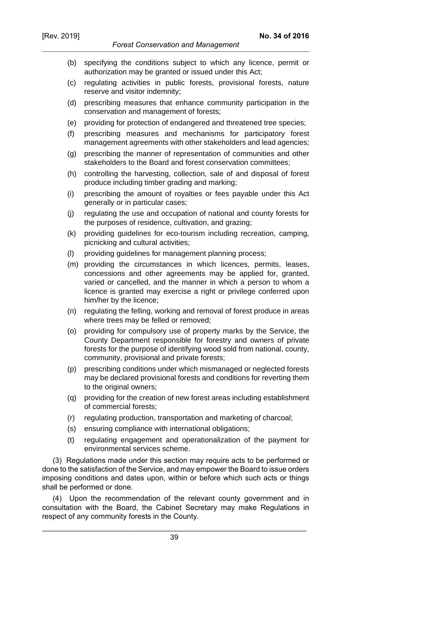**No. 34 of 2016**

- (b) specifying the conditions subject to which any licence, permit or authorization may be granted or issued under this Act;
- (c) regulating activities in public forests, provisional forests, nature reserve and visitor indemnity;
- (d) prescribing measures that enhance community participation in the conservation and management of forests;
- (e) providing for protection of endangered and threatened tree species;
- (f) prescribing measures and mechanisms for participatory forest management agreements with other stakeholders and lead agencies;
- (g) prescribing the manner of representation of communities and other stakeholders to the Board and forest conservation committees;
- (h) controlling the harvesting, collection, sale of and disposal of forest produce including timber grading and marking;
- (i) prescribing the amount of royalties or fees payable under this Act generally or in particular cases;
- (j) regulating the use and occupation of national and county forests for the purposes of residence, cultivation, and grazing;
- (k) providing guidelines for eco-tourism including recreation, camping, picnicking and cultural activities;
- (l) providing guidelines for management planning process;
- (m) providing the circumstances in which licences, permits, leases, concessions and other agreements may be applied for, granted, varied or cancelled, and the manner in which a person to whom a licence is granted may exercise a right or privilege conferred upon him/her by the licence;
- (n) regulating the felling, working and removal of forest produce in areas where trees may be felled or removed;
- (o) providing for compulsory use of property marks by the Service, the County Department responsible for forestry and owners of private forests for the purpose of identifying wood sold from national, county, community, provisional and private forests;
- (p) prescribing conditions under which mismanaged or neglected forests may be declared provisional forests and conditions for reverting them to the original owners;
- (q) providing for the creation of new forest areas including establishment of commercial forests;
- (r) regulating production, transportation and marketing of charcoal;
- (s) ensuring compliance with international obligations;
- (t) regulating engagement and operationalization of the payment for environmental services scheme.

(3) Regulations made under this section may require acts to be performed or done to the satisfaction of the Service, and may empower the Board to issue orders imposing conditions and dates upon, within or before which such acts or things shall be performed or done.

(4) Upon the recommendation of the relevant county government and in consultation with the Board, the Cabinet Secretary may make Regulations in respect of any community forests in the County.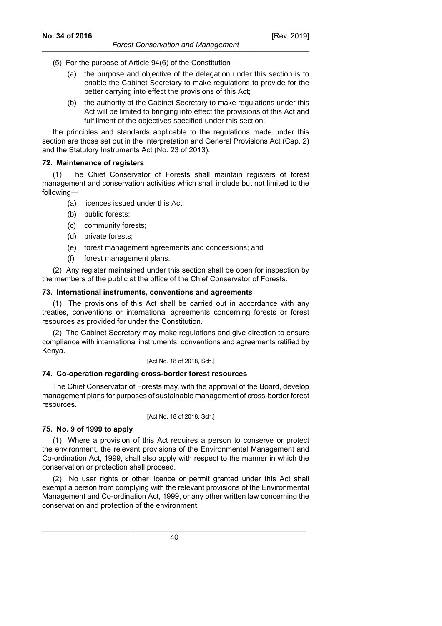- (5) For the purpose of Article 94(6) of the Constitution—
	- (a) the purpose and objective of the delegation under this section is to enable the Cabinet Secretary to make regulations to provide for the better carrying into effect the provisions of this Act;
	- (b) the authority of the Cabinet Secretary to make regulations under this Act will be limited to bringing into effect the provisions of this Act and fulfillment of the objectives specified under this section;

the principles and standards applicable to the regulations made under this section are those set out in the Interpretation and General Provisions Act (Cap. 2) and the Statutory Instruments Act (No. 23 of 2013).

### **72. Maintenance of registers**

(1) The Chief Conservator of Forests shall maintain registers of forest management and conservation activities which shall include but not limited to the following—

- (a) licences issued under this Act;
- (b) public forests;
- (c) community forests;
- (d) private forests;
- (e) forest management agreements and concessions; and
- (f) forest management plans.

(2) Any register maintained under this section shall be open for inspection by the members of the public at the office of the Chief Conservator of Forests.

### **73. International instruments, conventions and agreements**

(1) The provisions of this Act shall be carried out in accordance with any treaties, conventions or international agreements concerning forests or forest resources as provided for under the Constitution.

(2) The Cabinet Secretary may make regulations and give direction to ensure compliance with international instruments, conventions and agreements ratified by Kenya.

#### [Act No. 18 of 2018, Sch.]

### **74. Co-operation regarding cross-border forest resources**

The Chief Conservator of Forests may, with the approval of the Board, develop management plans for purposes of sustainable management of cross-border forest resources.

[Act No. 18 of 2018, Sch.]

## **75. No. 9 of 1999 to apply**

(1) Where a provision of this Act requires a person to conserve or protect the environment, the relevant provisions of the Environmental Management and Co-ordination Act, 1999, shall also apply with respect to the manner in which the conservation or protection shall proceed.

(2) No user rights or other licence or permit granted under this Act shall exempt a person from complying with the relevant provisions of the Environmental Management and Co-ordination Act, 1999, or any other written law concerning the conservation and protection of the environment.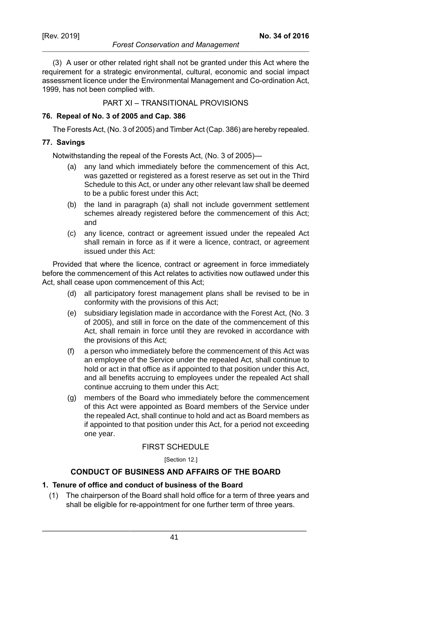#### *Forest Conservation and Management*

(3) A user or other related right shall not be granted under this Act where the requirement for a strategic environmental, cultural, economic and social impact assessment licence under the Environmental Management and Co-ordination Act, 1999, has not been complied with.

PART XI – TRANSITIONAL PROVISIONS

## **76. Repeal of No. 3 of 2005 and Cap. 386**

The Forests Act, (No. 3 of 2005) and Timber Act (Cap. 386) are hereby repealed.

### **77. Savings**

Notwithstanding the repeal of the Forests Act, (No. 3 of 2005)—

- (a) any land which immediately before the commencement of this Act, was gazetted or registered as a forest reserve as set out in the Third Schedule to this Act, or under any other relevant law shall be deemed to be a public forest under this Act;
- (b) the land in paragraph (a) shall not include government settlement schemes already registered before the commencement of this Act; and
- (c) any licence, contract or agreement issued under the repealed Act shall remain in force as if it were a licence, contract, or agreement issued under this Act:

Provided that where the licence, contract or agreement in force immediately before the commencement of this Act relates to activities now outlawed under this Act, shall cease upon commencement of this Act;

- (d) all participatory forest management plans shall be revised to be in conformity with the provisions of this Act;
- (e) subsidiary legislation made in accordance with the Forest Act, (No. 3 of 2005), and still in force on the date of the commencement of this Act, shall remain in force until they are revoked in accordance with the provisions of this Act;
- (f) a person who immediately before the commencement of this Act was an employee of the Service under the repealed Act, shall continue to hold or act in that office as if appointed to that position under this Act, and all benefits accruing to employees under the repealed Act shall continue accruing to them under this Act;
- (g) members of the Board who immediately before the commencement of this Act were appointed as Board members of the Service under the repealed Act, shall continue to hold and act as Board members as if appointed to that position under this Act, for a period not exceeding one year.

### FIRST SCHEDULE

[Section 12.]

## **CONDUCT OF BUSINESS AND AFFAIRS OF THE BOARD**

## **1. Tenure of office and conduct of business of the Board**

(1) The chairperson of the Board shall hold office for a term of three years and shall be eligible for re-appointment for one further term of three years.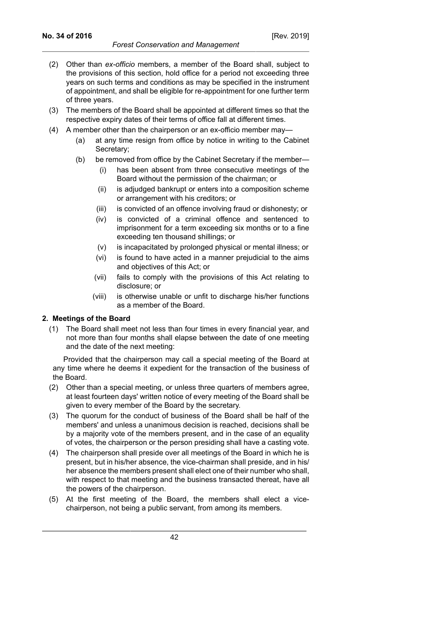- (2) Other than *ex-officio* members, a member of the Board shall, subject to the provisions of this section, hold office for a period not exceeding three years on such terms and conditions as may be specified in the instrument of appointment, and shall be eligible for re-appointment for one further term of three years.
- (3) The members of the Board shall be appointed at different times so that the respective expiry dates of their terms of office fall at different times.
- (4) A member other than the chairperson or an ex-officio member may—
	- (a) at any time resign from office by notice in writing to the Cabinet Secretary;
	- (b) be removed from office by the Cabinet Secretary if the member—
		- (i) has been absent from three consecutive meetings of the Board without the permission of the chairman; or
		- (ii) is adjudged bankrupt or enters into a composition scheme or arrangement with his creditors; or
		- (iii) is convicted of an offence involving fraud or dishonesty; or
		- (iv) is convicted of a criminal offence and sentenced to imprisonment for a term exceeding six months or to a fine exceeding ten thousand shillings; or
		- (v) is incapacitated by prolonged physical or mental illness; or
		- (vi) is found to have acted in a manner prejudicial to the aims and objectives of this Act; or
		- (vii) fails to comply with the provisions of this Act relating to disclosure; or
		- (viii) is otherwise unable or unfit to discharge his/her functions as a member of the Board.

## **2. Meetings of the Board**

(1) The Board shall meet not less than four times in every financial year, and not more than four months shall elapse between the date of one meeting and the date of the next meeting:

Provided that the chairperson may call a special meeting of the Board at any time where he deems it expedient for the transaction of the business of the Board.

- (2) Other than a special meeting, or unless three quarters of members agree, at least fourteen days' written notice of every meeting of the Board shall be given to every member of the Board by the secretary.
- (3) The quorum for the conduct of business of the Board shall be half of the members' and unless a unanimous decision is reached, decisions shall be by a majority vote of the members present, and in the case of an equality of votes, the chairperson or the person presiding shall have a casting vote.
- (4) The chairperson shall preside over all meetings of the Board in which he is present, but in his/her absence, the vice-chairman shall preside, and in his/ her absence the members present shall elect one of their number who shall, with respect to that meeting and the business transacted thereat, have all the powers of the chairperson.
- (5) At the first meeting of the Board, the members shall elect a vicechairperson, not being a public servant, from among its members.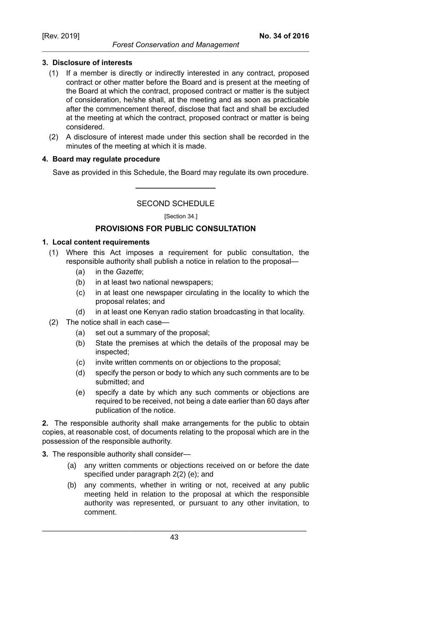## **3. Disclosure of interests**

- (1) If a member is directly or indirectly interested in any contract, proposed contract or other matter before the Board and is present at the meeting of the Board at which the contract, proposed contract or matter is the subject of consideration, he/she shall, at the meeting and as soon as practicable after the commencement thereof, disclose that fact and shall be excluded at the meeting at which the contract, proposed contract or matter is being considered.
- (2) A disclosure of interest made under this section shall be recorded in the minutes of the meeting at which it is made.

## **4. Board may regulate procedure**

Save as provided in this Schedule, the Board may regulate its own procedure.

SECOND SCHEDULE

[Section 34.]

# **PROVISIONS FOR PUBLIC CONSULTATION**

### **1. Local content requirements**

- (1) Where this Act imposes a requirement for public consultation, the responsible authority shall publish a notice in relation to the proposal—
	- (a) in the *Gazette*;
	- (b) in at least two national newspapers;
	- (c) in at least one newspaper circulating in the locality to which the proposal relates; and
	- (d) in at least one Kenyan radio station broadcasting in that locality.
- (2) The notice shall in each case—
	- (a) set out a summary of the proposal;
	- (b) State the premises at which the details of the proposal may be inspected;
	- (c) invite written comments on or objections to the proposal;
	- (d) specify the person or body to which any such comments are to be submitted; and
	- (e) specify a date by which any such comments or objections are required to be received, not being a date earlier than 60 days after publication of the notice.

**2.** The responsible authority shall make arrangements for the public to obtain copies, at reasonable cost, of documents relating to the proposal which are in the possession of the responsible authority.

- **3.** The responsible authority shall consider—
	- (a) any written comments or objections received on or before the date specified under paragraph 2(2) (e); and
	- (b) any comments, whether in writing or not, received at any public meeting held in relation to the proposal at which the responsible authority was represented, or pursuant to any other invitation, to comment.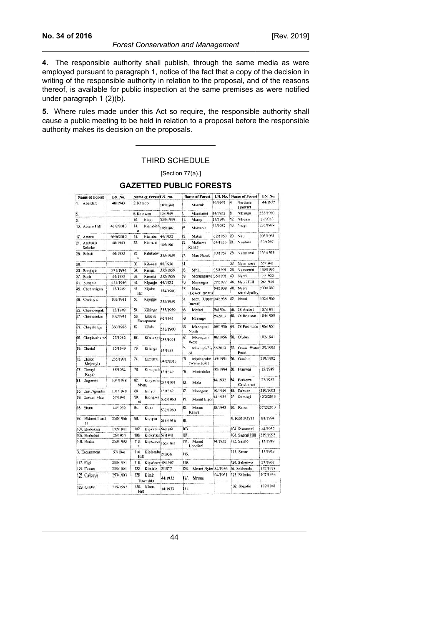**4.** The responsible authority shall publish, through the same media as were employed pursuant to paragraph 1, notice of the fact that a copy of the decision in writing of the responsible authority in relation to the proposal, and of the reasons thereof, is available for public inspection at the same premises as were notified under paragraph 1 (2)(b).

**5.** Where rules made under this Act so require, the responsible authority shall cause a public meeting to be held in relation to a proposal before the responsible authority makes its decision on the proposals.

#### THIRD SCHEDULE

[Section 77(a).]

|     | <b>Name of Forest</b>      | LN. No.   |                               | Name of ForestLN. No.      |                   |      | <b>Name of Forest</b>          | LN. No.  |                            | <b>Name of Forest</b>        | LN. No.   |
|-----|----------------------------|-----------|-------------------------------|----------------------------|-------------------|------|--------------------------------|----------|----------------------------|------------------------------|-----------|
| h.  | Aberdare                   | 48/1943   | 2. Kessop                     |                            | 102/1941          | b.   | Marenk                         | 50/1967  | 4.<br>Northern<br>Tinderet |                              | 44/1932   |
| 5.  |                            |           | 6. Ketnwan                    |                            | 15/1949           |      | Marmanet                       | 44/1932  | 8                          | Nthangu                      | 532/1960  |
| 9.  |                            |           | 10.                           | Kiagu                      | 335/1959          | It.  | Marop                          | 15/1949  | 12                         | Nthoani                      | 27/2013   |
|     | 13. Abiero Hill            | 42/2/2013 | 14.<br>$\ddot{\Omega}$        | Kiambich 185/1961          |                   | 15.  | Marsabit                       | 44/1932  | 16.                        | Ntugi                        | 335/1959  |
| 17. | Amara                      | 69/6/2012 | 18.                           | Kiambu                     | 44/1932           | Ì9.  | Mataa                          | 32/1960  | 20                         | Nuu                          | 303/1961  |
|     | 21. Arabuko<br>Sokoke      | 48/1943   | $\mathbf{z}$                  | Kiamuti                    | 185/1961          | ÞЗ   | Mathews<br>Range               | 54/1956  | 24.                        | Nvaitara                     | 80/1997   |
|     | 25. Bahati                 | 44/1932   | 26<br>$\overline{\mathbf{a}}$ | Kibithew                   | 335/1959          | 27.  | Mau Narok                      | 10/1967  | 28.                        | Nyambeni                     | 335/1959  |
| 29. |                            |           | 30                            | Kibwezi                    | 80/1936           | 31.  |                                |          | 32                         | Nyamweru                     | 57/1941   |
| 33. | Bonjoge                    | 371/1994  | 34.                           | Kieiga                     | 335/1959          | 35.  | Mbili                          | 35/1991  | 36.                        | Nyasumbi                     | 139/1995  |
|     | 37. Buda                   | 44/1932   | 38.                           | Kierera                    | 335/1959          | 39.  | Mchungunyi!35/1991             |          | 40                         | Nyeri                        | 44/1932   |
| 41. | Bunyala                    | 421/1956  | 42.                           | Kiganjo                    | 44/1932           | 13.  | Menengai                       | 27/1977  | 44.                        | Nyeri Hill                   | 26/1944   |
|     | 45. Chebartigon            | 15/1949   | 46.<br>Hill                   | Kijabe                     | 184/1980          | 17.  | Meru<br>(Lower Irrenti).       | 04/1938  | AB.                        | Nveri<br>Municipality        | 200/1987  |
| 49. | Cheboyit                   | 102/1941  | 50.                           | Kijegge                    | 335/1959          | 51.  | Meru (Upper:04/1938<br>Imenti) |          | 52                         | Nzaui                        | 532/1960  |
| 53. | Chemorogok                 | 15/1949   | 54                            | Kikingo                    | 335/1959          | 55.  | Metkei                         | 26/1954  | 66                         | Ol Arabel                    | 107/1941  |
|     | 57. Chemurokoi             | 102/1941  | 58.                           | Kikuyu<br>Escarpment       | 48/1943           | 59.  | Misango                        | 28/2013  | 60.                        | Ol Bolossat                  | 104/1938  |
|     | 61. Chepalungu             | 360/1956  | 62.                           | Kilala                     | 532/1960          | 63.  | Mkonganj<br>North              | 06/1956  | 64.                        | O1 Pusimoru 196/1957         |           |
| 65. | Chepkuchumo                | 27/1962   | 66                            | Kilulunyi 235/1991         |                   | 37.  | Mkongani<br>West               | 06/1956  | 68.                        | Ololua                       | 102/1941  |
| 69. | Cherial                    | 15/1949   | 70                            | Kilungu                    | 14/1933           | 71.  | Mnangei/Siy 22/2013<br>oi      |          | 72.                        | Onoo Water 139/1995<br>Point |           |
|     | 73. Choke<br>(Mnjonyi)     | 235/1991  | 74.                           | Kirnanvi                   | 34/2/2013         | 75.  | Modagache<br>(Weni-Tole)       | 35/1991  | 76.                        | Otacho                       | 219/1992  |
|     | 77. Chonyi<br>(Kaya)       | 88/1994   | 78.                           | Kimojoch 15/1949           |                   | PQ.  | Murinduko                      | 85/1994  | 80                         | Pemwai                       | 15/1949   |
| 81. | Dagoretti                  | 104/1938  | 82.<br>Mvua                   | Kinyesha                   | 235/1991          | 33.  | Molo                           | 44/1932  | 84                         | Perkerra<br>Catchment        | 27/1962   |
| 85. | East Ngamba                | 101/1978  | 86.                           | Kinyo                      | 15/1949           | 37.  | Mosegern                       | 15/1949  | 88.                        | Rabuor                       | 219/1992  |
| 89. | Eastern Mau                | 57/1941   | 90.<br>ni                     | Kiongwa                    | 532/1960          | 91.  | 14/1932<br>Mount Elgon         |          | 92.                        | Ramogi                       | 42/2/2013 |
|     | 93. Eburu                  | 44/1932   | 94.                           | Kioo                       | 532/1960          | 35.  | Mount<br>Kenya                 | 48/1943  | 96.                        | Ranen                        | 37/2/2013 |
| 97. | <b>Eldoret 1 and</b><br>11 | 258/1966  | 98.                           | Kipipiri                   | 218/1956          | 99.  |                                |          |                            | 0. Ribe(Kava)                | 88/1994   |
|     | 101. Embakasi              | 102/1941  | 102                           | Kipkabus 64/1961           |                   | ÌO3  |                                |          |                            | 104. Rumuruti                | 44/1932   |
|     | 105. Embobut               | 26/1954   | 106.                          | Kipkabus 57/1941           |                   | 107  |                                |          |                            | 108. Sagegi Hill             | 219/1992  |
|     | 109. Endau                 | 253/1993  | 110.<br>r                     |                            | Kipkunur 102/1941 | 111. | Mount<br>Londiani              | 44/1932  |                            | 112. Saimo                   | 15/1949   |
|     | 3. Escarpment              | 57/1941   | 114<br>Hill                   | Kiplombe <sub>2/1936</sub> |                   | 115. |                                |          |                            | 116. Sanao                   | 15/1949   |
|     | 117. Figi                  | 235/1991  | 118.                          | Kiptaberr 49/1967          |                   | 119  |                                |          |                            | 120. Sekenwo                 | 27/1962   |
|     | 121. Fururu                | 235/1991  | 122                           | Kitalale                   | 2/1977            | 123. | Mount Nyiru-54/1956            |          |                            | 24. Sekhendu                 | 152/1977  |
|     | 425. Gaikuyu               | 253/1993  | 126                           | Kitale<br>Township         | 44/1932           | 127. | Mrima                          | i04/1961 |                            | 128. Shimba                  | 407/1956  |
|     | 129. Giribe                | 219/1992  | 130<br>Hill                   | Kiteta                     | 14/1933           | 131. |                                |          |                            | 132. Sogotio                 | 102/1941  |

# **GAZETTED PUBLIC FORESTS**